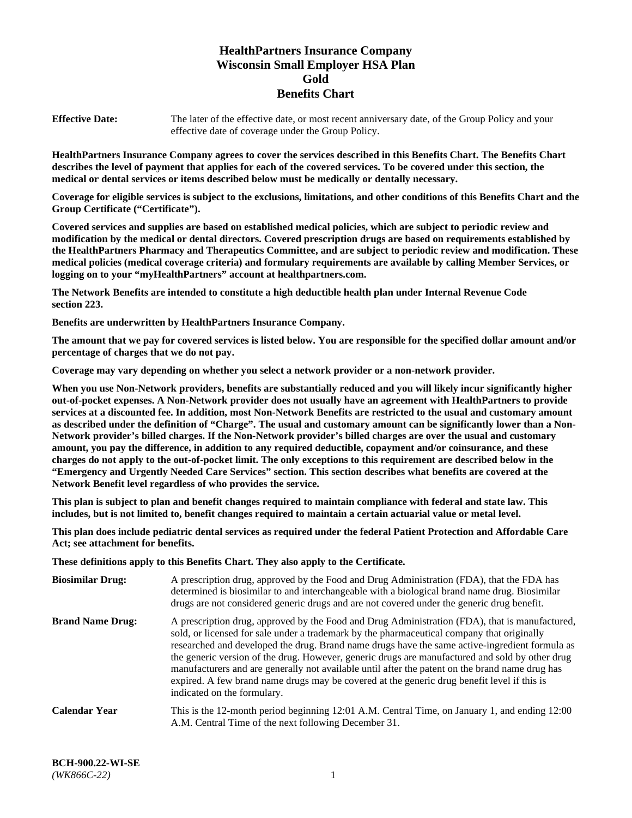# **HealthPartners Insurance Company Wisconsin Small Employer HSA Plan Gold Benefits Chart**

**Effective Date:** The later of the effective date, or most recent anniversary date, of the Group Policy and your effective date of coverage under the Group Policy.

**HealthPartners Insurance Company agrees to cover the services described in this Benefits Chart. The Benefits Chart describes the level of payment that applies for each of the covered services. To be covered under this section, the medical or dental services or items described below must be medically or dentally necessary.**

**Coverage for eligible services is subject to the exclusions, limitations, and other conditions of this Benefits Chart and the Group Certificate ("Certificate").**

**Covered services and supplies are based on established medical policies, which are subject to periodic review and modification by the medical or dental directors. Covered prescription drugs are based on requirements established by the HealthPartners Pharmacy and Therapeutics Committee, and are subject to periodic review and modification. These medical policies (medical coverage criteria) and formulary requirements are available by calling Member Services, or logging on to your "myHealthPartners" account at [healthpartners.com.](https://www.healthpartners.com/hp/index.html)** 

**The Network Benefits are intended to constitute a high deductible health plan under Internal Revenue Code section 223.**

**Benefits are underwritten by HealthPartners Insurance Company.**

**The amount that we pay for covered services is listed below. You are responsible for the specified dollar amount and/or percentage of charges that we do not pay.**

**Coverage may vary depending on whether you select a network provider or a non-network provider.**

**When you use Non-Network providers, benefits are substantially reduced and you will likely incur significantly higher out-of-pocket expenses. A Non-Network provider does not usually have an agreement with HealthPartners to provide services at a discounted fee. In addition, most Non-Network Benefits are restricted to the usual and customary amount as described under the definition of "Charge". The usual and customary amount can be significantly lower than a Non-Network provider's billed charges. If the Non-Network provider's billed charges are over the usual and customary amount, you pay the difference, in addition to any required deductible, copayment and/or coinsurance, and these charges do not apply to the out-of-pocket limit. The only exceptions to this requirement are described below in the "Emergency and Urgently Needed Care Services" section. This section describes what benefits are covered at the Network Benefit level regardless of who provides the service.**

**This plan is subject to plan and benefit changes required to maintain compliance with federal and state law. This includes, but is not limited to, benefit changes required to maintain a certain actuarial value or metal level.**

**This plan does include pediatric dental services as required under the federal Patient Protection and Affordable Care Act; see attachment for benefits.**

**These definitions apply to this Benefits Chart. They also apply to the Certificate.**

| <b>Biosimilar Drug:</b> | A prescription drug, approved by the Food and Drug Administration (FDA), that the FDA has<br>determined is biosimilar to and interchangeable with a biological brand name drug. Biosimilar<br>drugs are not considered generic drugs and are not covered under the generic drug benefit.                                                                                                                                                                                                                                                                                                                                           |
|-------------------------|------------------------------------------------------------------------------------------------------------------------------------------------------------------------------------------------------------------------------------------------------------------------------------------------------------------------------------------------------------------------------------------------------------------------------------------------------------------------------------------------------------------------------------------------------------------------------------------------------------------------------------|
| <b>Brand Name Drug:</b> | A prescription drug, approved by the Food and Drug Administration (FDA), that is manufactured,<br>sold, or licensed for sale under a trademark by the pharmaceutical company that originally<br>researched and developed the drug. Brand name drugs have the same active-ingredient formula as<br>the generic version of the drug. However, generic drugs are manufactured and sold by other drug<br>manufacturers and are generally not available until after the patent on the brand name drug has<br>expired. A few brand name drugs may be covered at the generic drug benefit level if this is<br>indicated on the formulary. |
| <b>Calendar Year</b>    | This is the 12-month period beginning 12:01 A.M. Central Time, on January 1, and ending 12:00<br>A.M. Central Time of the next following December 31.                                                                                                                                                                                                                                                                                                                                                                                                                                                                              |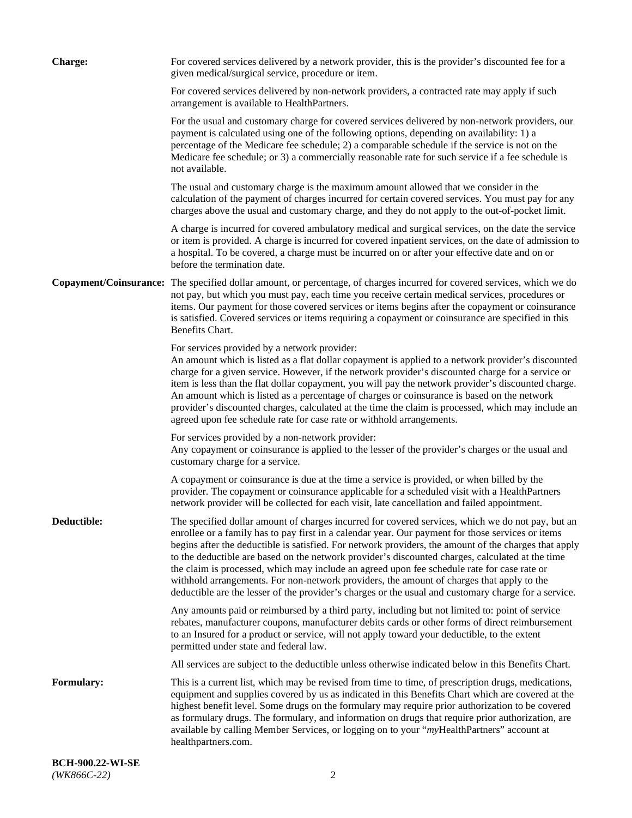| <b>Charge:</b>    | For covered services delivered by a network provider, this is the provider's discounted fee for a<br>given medical/surgical service, procedure or item.                                                                                                                                                                                                                                                                                                                                                                                                                                                                                                                                                                 |
|-------------------|-------------------------------------------------------------------------------------------------------------------------------------------------------------------------------------------------------------------------------------------------------------------------------------------------------------------------------------------------------------------------------------------------------------------------------------------------------------------------------------------------------------------------------------------------------------------------------------------------------------------------------------------------------------------------------------------------------------------------|
|                   | For covered services delivered by non-network providers, a contracted rate may apply if such<br>arrangement is available to HealthPartners.                                                                                                                                                                                                                                                                                                                                                                                                                                                                                                                                                                             |
|                   | For the usual and customary charge for covered services delivered by non-network providers, our<br>payment is calculated using one of the following options, depending on availability: 1) a<br>percentage of the Medicare fee schedule; 2) a comparable schedule if the service is not on the<br>Medicare fee schedule; or 3) a commercially reasonable rate for such service if a fee schedule is<br>not available.                                                                                                                                                                                                                                                                                                   |
|                   | The usual and customary charge is the maximum amount allowed that we consider in the<br>calculation of the payment of charges incurred for certain covered services. You must pay for any<br>charges above the usual and customary charge, and they do not apply to the out-of-pocket limit.                                                                                                                                                                                                                                                                                                                                                                                                                            |
|                   | A charge is incurred for covered ambulatory medical and surgical services, on the date the service<br>or item is provided. A charge is incurred for covered inpatient services, on the date of admission to<br>a hospital. To be covered, a charge must be incurred on or after your effective date and on or<br>before the termination date.                                                                                                                                                                                                                                                                                                                                                                           |
|                   | Copayment/Coinsurance: The specified dollar amount, or percentage, of charges incurred for covered services, which we do<br>not pay, but which you must pay, each time you receive certain medical services, procedures or<br>items. Our payment for those covered services or items begins after the copayment or coinsurance<br>is satisfied. Covered services or items requiring a copayment or coinsurance are specified in this<br>Benefits Chart.                                                                                                                                                                                                                                                                 |
|                   | For services provided by a network provider:<br>An amount which is listed as a flat dollar copayment is applied to a network provider's discounted<br>charge for a given service. However, if the network provider's discounted charge for a service or<br>item is less than the flat dollar copayment, you will pay the network provider's discounted charge.<br>An amount which is listed as a percentage of charges or coinsurance is based on the network<br>provider's discounted charges, calculated at the time the claim is processed, which may include an<br>agreed upon fee schedule rate for case rate or withhold arrangements.                                                                            |
|                   | For services provided by a non-network provider:<br>Any copayment or coinsurance is applied to the lesser of the provider's charges or the usual and<br>customary charge for a service.                                                                                                                                                                                                                                                                                                                                                                                                                                                                                                                                 |
|                   | A copayment or coinsurance is due at the time a service is provided, or when billed by the<br>provider. The copayment or coinsurance applicable for a scheduled visit with a HealthPartners<br>network provider will be collected for each visit, late cancellation and failed appointment.                                                                                                                                                                                                                                                                                                                                                                                                                             |
| Deductible:       | The specified dollar amount of charges incurred for covered services, which we do not pay, but an<br>enrollee or a family has to pay first in a calendar year. Our payment for those services or items<br>begins after the deductible is satisfied. For network providers, the amount of the charges that apply<br>to the deductible are based on the network provider's discounted charges, calculated at the time<br>the claim is processed, which may include an agreed upon fee schedule rate for case rate or<br>withhold arrangements. For non-network providers, the amount of charges that apply to the<br>deductible are the lesser of the provider's charges or the usual and customary charge for a service. |
|                   | Any amounts paid or reimbursed by a third party, including but not limited to: point of service<br>rebates, manufacturer coupons, manufacturer debits cards or other forms of direct reimbursement<br>to an Insured for a product or service, will not apply toward your deductible, to the extent<br>permitted under state and federal law.                                                                                                                                                                                                                                                                                                                                                                            |
|                   | All services are subject to the deductible unless otherwise indicated below in this Benefits Chart.                                                                                                                                                                                                                                                                                                                                                                                                                                                                                                                                                                                                                     |
| <b>Formulary:</b> | This is a current list, which may be revised from time to time, of prescription drugs, medications,<br>equipment and supplies covered by us as indicated in this Benefits Chart which are covered at the<br>highest benefit level. Some drugs on the formulary may require prior authorization to be covered<br>as formulary drugs. The formulary, and information on drugs that require prior authorization, are<br>available by calling Member Services, or logging on to your "myHealthPartners" account at<br>healthpartners.com.                                                                                                                                                                                   |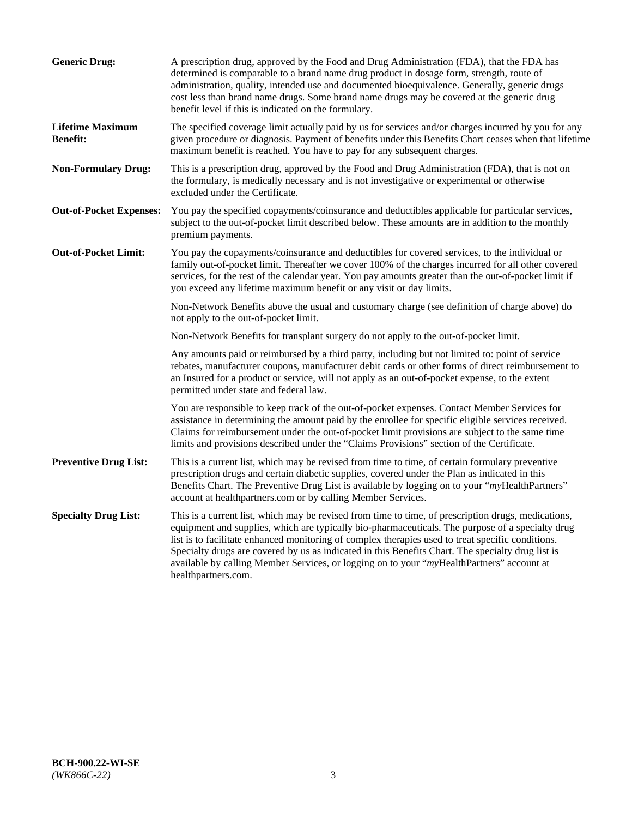| <b>Generic Drug:</b>                       | A prescription drug, approved by the Food and Drug Administration (FDA), that the FDA has<br>determined is comparable to a brand name drug product in dosage form, strength, route of<br>administration, quality, intended use and documented bioequivalence. Generally, generic drugs<br>cost less than brand name drugs. Some brand name drugs may be covered at the generic drug<br>benefit level if this is indicated on the formulary.                                                                                           |
|--------------------------------------------|---------------------------------------------------------------------------------------------------------------------------------------------------------------------------------------------------------------------------------------------------------------------------------------------------------------------------------------------------------------------------------------------------------------------------------------------------------------------------------------------------------------------------------------|
| <b>Lifetime Maximum</b><br><b>Benefit:</b> | The specified coverage limit actually paid by us for services and/or charges incurred by you for any<br>given procedure or diagnosis. Payment of benefits under this Benefits Chart ceases when that lifetime<br>maximum benefit is reached. You have to pay for any subsequent charges.                                                                                                                                                                                                                                              |
| <b>Non-Formulary Drug:</b>                 | This is a prescription drug, approved by the Food and Drug Administration (FDA), that is not on<br>the formulary, is medically necessary and is not investigative or experimental or otherwise<br>excluded under the Certificate.                                                                                                                                                                                                                                                                                                     |
| <b>Out-of-Pocket Expenses:</b>             | You pay the specified copayments/coinsurance and deductibles applicable for particular services,<br>subject to the out-of-pocket limit described below. These amounts are in addition to the monthly<br>premium payments.                                                                                                                                                                                                                                                                                                             |
| <b>Out-of-Pocket Limit:</b>                | You pay the copayments/coinsurance and deductibles for covered services, to the individual or<br>family out-of-pocket limit. Thereafter we cover 100% of the charges incurred for all other covered<br>services, for the rest of the calendar year. You pay amounts greater than the out-of-pocket limit if<br>you exceed any lifetime maximum benefit or any visit or day limits.                                                                                                                                                    |
|                                            | Non-Network Benefits above the usual and customary charge (see definition of charge above) do<br>not apply to the out-of-pocket limit.                                                                                                                                                                                                                                                                                                                                                                                                |
|                                            | Non-Network Benefits for transplant surgery do not apply to the out-of-pocket limit.                                                                                                                                                                                                                                                                                                                                                                                                                                                  |
|                                            | Any amounts paid or reimbursed by a third party, including but not limited to: point of service<br>rebates, manufacturer coupons, manufacturer debit cards or other forms of direct reimbursement to<br>an Insured for a product or service, will not apply as an out-of-pocket expense, to the extent<br>permitted under state and federal law.                                                                                                                                                                                      |
|                                            | You are responsible to keep track of the out-of-pocket expenses. Contact Member Services for<br>assistance in determining the amount paid by the enrollee for specific eligible services received.<br>Claims for reimbursement under the out-of-pocket limit provisions are subject to the same time<br>limits and provisions described under the "Claims Provisions" section of the Certificate.                                                                                                                                     |
| <b>Preventive Drug List:</b>               | This is a current list, which may be revised from time to time, of certain formulary preventive<br>prescription drugs and certain diabetic supplies, covered under the Plan as indicated in this<br>Benefits Chart. The Preventive Drug List is available by logging on to your "myHealthPartners"<br>account at healthpartners.com or by calling Member Services.                                                                                                                                                                    |
| <b>Specialty Drug List:</b>                | This is a current list, which may be revised from time to time, of prescription drugs, medications,<br>equipment and supplies, which are typically bio-pharmaceuticals. The purpose of a specialty drug<br>list is to facilitate enhanced monitoring of complex therapies used to treat specific conditions.<br>Specialty drugs are covered by us as indicated in this Benefits Chart. The specialty drug list is<br>available by calling Member Services, or logging on to your "myHealthPartners" account at<br>healthpartners.com. |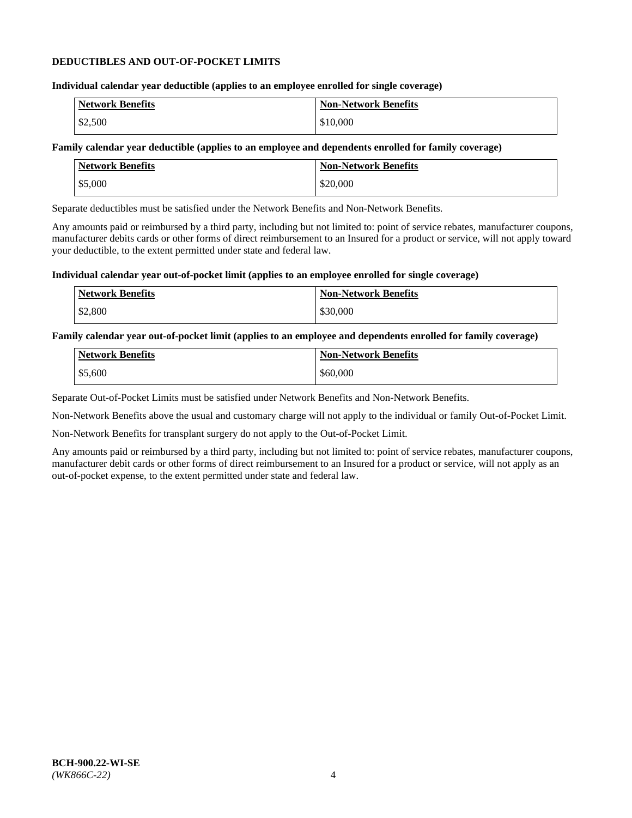#### **DEDUCTIBLES AND OUT-OF-POCKET LIMITS**

## **Individual calendar year deductible (applies to an employee enrolled for single coverage)**

| <b>Network Benefits</b> | <b>Non-Network Benefits</b> |
|-------------------------|-----------------------------|
| \$2,500                 | \$10,000                    |

#### **Family calendar year deductible (applies to an employee and dependents enrolled for family coverage)**

| <b>Network Benefits</b> | <b>Non-Network Benefits</b> |
|-------------------------|-----------------------------|
| \$5,000                 | \$20,000                    |

Separate deductibles must be satisfied under the Network Benefits and Non-Network Benefits.

Any amounts paid or reimbursed by a third party, including but not limited to: point of service rebates, manufacturer coupons, manufacturer debits cards or other forms of direct reimbursement to an Insured for a product or service, will not apply toward your deductible, to the extent permitted under state and federal law.

#### **Individual calendar year out-of-pocket limit (applies to an employee enrolled for single coverage)**

| <b>Network Benefits</b> | <b>Non-Network Benefits</b> |
|-------------------------|-----------------------------|
| \$2,800                 | \$30,000                    |

#### **Family calendar year out-of-pocket limit (applies to an employee and dependents enrolled for family coverage)**

| <b>Network Benefits</b> | <b>Non-Network Benefits</b> |
|-------------------------|-----------------------------|
| \$5,600                 | \$60,000                    |

Separate Out-of-Pocket Limits must be satisfied under Network Benefits and Non-Network Benefits.

Non-Network Benefits above the usual and customary charge will not apply to the individual or family Out-of-Pocket Limit.

Non-Network Benefits for transplant surgery do not apply to the Out-of-Pocket Limit.

Any amounts paid or reimbursed by a third party, including but not limited to: point of service rebates, manufacturer coupons, manufacturer debit cards or other forms of direct reimbursement to an Insured for a product or service, will not apply as an out-of-pocket expense, to the extent permitted under state and federal law.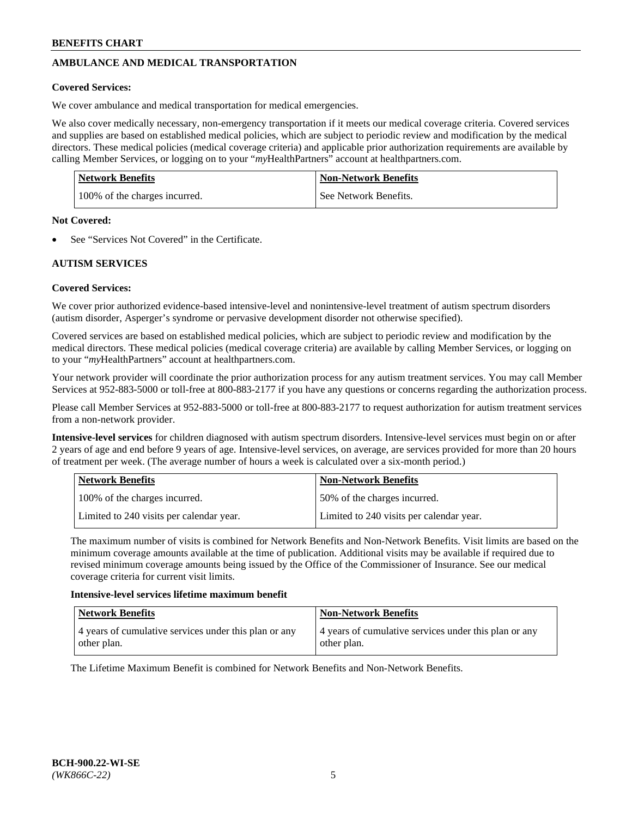# **AMBULANCE AND MEDICAL TRANSPORTATION**

## **Covered Services:**

We cover ambulance and medical transportation for medical emergencies.

We also cover medically necessary, non-emergency transportation if it meets our medical coverage criteria. Covered services and supplies are based on established medical policies, which are subject to periodic review and modification by the medical directors. These medical policies (medical coverage criteria) and applicable prior authorization requirements are available by calling Member Services, or logging on to your "*my*HealthPartners" account a[t healthpartners.com.](https://www.healthpartners.com/hp/index.html)

| Network Benefits              | <b>Non-Network Benefits</b> |
|-------------------------------|-----------------------------|
| 100% of the charges incurred. | See Network Benefits.       |

#### **Not Covered:**

See "Services Not Covered" in the Certificate.

# **AUTISM SERVICES**

# **Covered Services:**

We cover prior authorized evidence-based intensive-level and nonintensive-level treatment of autism spectrum disorders (autism disorder, Asperger's syndrome or pervasive development disorder not otherwise specified).

Covered services are based on established medical policies, which are subject to periodic review and modification by the medical directors. These medical policies (medical coverage criteria) are available by calling Member Services, or logging on to your "*my*HealthPartners" account at [healthpartners.com.](https://www.healthpartners.com/hp/index.html)

Your network provider will coordinate the prior authorization process for any autism treatment services. You may call Member Services at 952-883-5000 or toll-free at 800-883-2177 if you have any questions or concerns regarding the authorization process.

Please call Member Services at 952-883-5000 or toll-free at 800-883-2177 to request authorization for autism treatment services from a non-network provider.

**Intensive-level services** for children diagnosed with autism spectrum disorders. Intensive-level services must begin on or after 2 years of age and end before 9 years of age. Intensive-level services, on average, are services provided for more than 20 hours of treatment per week. (The average number of hours a week is calculated over a six-month period.)

| Network Benefits                         | <b>Non-Network Benefits</b>              |
|------------------------------------------|------------------------------------------|
| 100% of the charges incurred.            | 50% of the charges incurred.             |
| Limited to 240 visits per calendar year. | Limited to 240 visits per calendar year. |

The maximum number of visits is combined for Network Benefits and Non-Network Benefits. Visit limits are based on the minimum coverage amounts available at the time of publication. Additional visits may be available if required due to revised minimum coverage amounts being issued by the Office of the Commissioner of Insurance. See our medical coverage criteria for current visit limits.

#### **Intensive-level services lifetime maximum benefit**

| <b>Network Benefits</b>                               | <b>Non-Network Benefits</b>                           |
|-------------------------------------------------------|-------------------------------------------------------|
| 4 years of cumulative services under this plan or any | 4 years of cumulative services under this plan or any |
| other plan.                                           | other plan.                                           |

The Lifetime Maximum Benefit is combined for Network Benefits and Non-Network Benefits.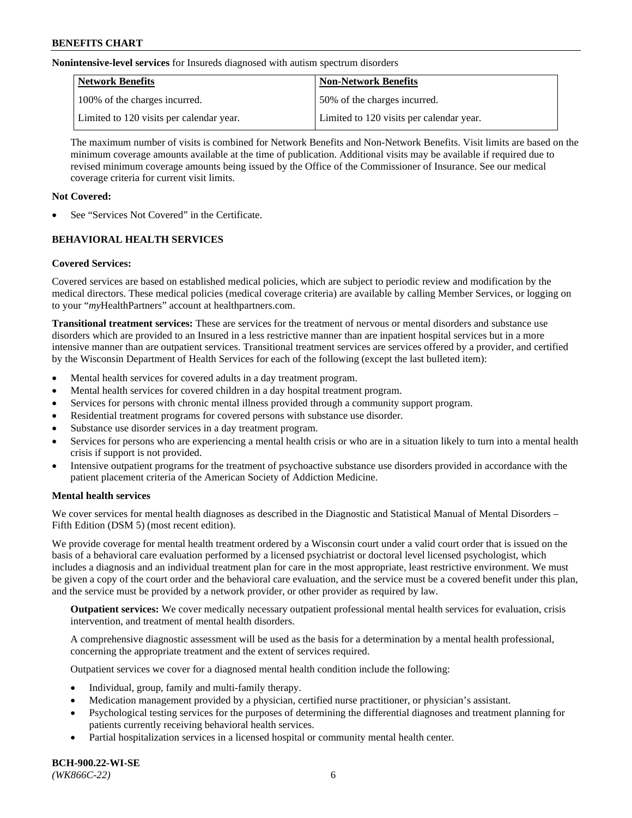**Nonintensive-level services** for Insureds diagnosed with autism spectrum disorders

| Network Benefits                         | <b>Non-Network Benefits</b>              |
|------------------------------------------|------------------------------------------|
| 100% of the charges incurred.            | 50% of the charges incurred.             |
| Limited to 120 visits per calendar year. | Limited to 120 visits per calendar year. |

The maximum number of visits is combined for Network Benefits and Non-Network Benefits. Visit limits are based on the minimum coverage amounts available at the time of publication. Additional visits may be available if required due to revised minimum coverage amounts being issued by the Office of the Commissioner of Insurance. See our medical coverage criteria for current visit limits.

# **Not Covered:**

See "Services Not Covered" in the Certificate.

# **BEHAVIORAL HEALTH SERVICES**

# **Covered Services:**

Covered services are based on established medical policies, which are subject to periodic review and modification by the medical directors. These medical policies (medical coverage criteria) are available by calling Member Services, or logging on to your "*my*HealthPartners" account at [healthpartners.com.](https://www.healthpartners.com/hp/index.html)

**Transitional treatment services:** These are services for the treatment of nervous or mental disorders and substance use disorders which are provided to an Insured in a less restrictive manner than are inpatient hospital services but in a more intensive manner than are outpatient services. Transitional treatment services are services offered by a provider, and certified by the Wisconsin Department of Health Services for each of the following (except the last bulleted item):

- Mental health services for covered adults in a day treatment program.
- Mental health services for covered children in a day hospital treatment program.
- Services for persons with chronic mental illness provided through a community support program.
- Residential treatment programs for covered persons with substance use disorder.
- Substance use disorder services in a day treatment program.
- Services for persons who are experiencing a mental health crisis or who are in a situation likely to turn into a mental health crisis if support is not provided.
- Intensive outpatient programs for the treatment of psychoactive substance use disorders provided in accordance with the patient placement criteria of the American Society of Addiction Medicine.

# **Mental health services**

We cover services for mental health diagnoses as described in the Diagnostic and Statistical Manual of Mental Disorders – Fifth Edition (DSM 5) (most recent edition).

We provide coverage for mental health treatment ordered by a Wisconsin court under a valid court order that is issued on the basis of a behavioral care evaluation performed by a licensed psychiatrist or doctoral level licensed psychologist, which includes a diagnosis and an individual treatment plan for care in the most appropriate, least restrictive environment. We must be given a copy of the court order and the behavioral care evaluation, and the service must be a covered benefit under this plan, and the service must be provided by a network provider, or other provider as required by law.

**Outpatient services:** We cover medically necessary outpatient professional mental health services for evaluation, crisis intervention, and treatment of mental health disorders.

A comprehensive diagnostic assessment will be used as the basis for a determination by a mental health professional, concerning the appropriate treatment and the extent of services required.

Outpatient services we cover for a diagnosed mental health condition include the following:

- Individual, group, family and multi-family therapy.
- Medication management provided by a physician, certified nurse practitioner, or physician's assistant.
- Psychological testing services for the purposes of determining the differential diagnoses and treatment planning for patients currently receiving behavioral health services.
- Partial hospitalization services in a licensed hospital or community mental health center.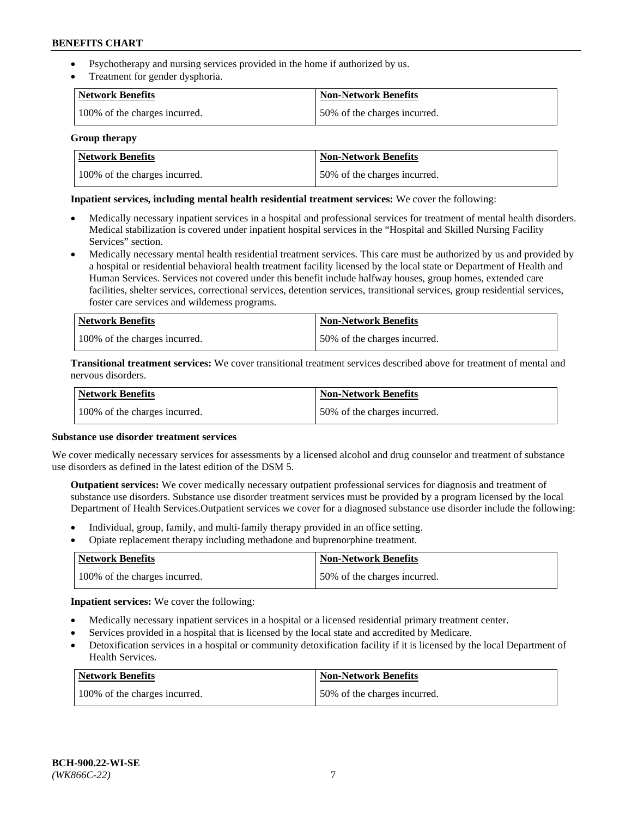- Psychotherapy and nursing services provided in the home if authorized by us.
- Treatment for gender dysphoria.

| Network Benefits              | <b>Non-Network Benefits</b>  |
|-------------------------------|------------------------------|
| 100% of the charges incurred. | 50% of the charges incurred. |

#### **Group therapy**

| Network Benefits              | Non-Network Benefits         |
|-------------------------------|------------------------------|
| 100% of the charges incurred. | 50% of the charges incurred. |

#### **Inpatient services, including mental health residential treatment services:** We cover the following:

- Medically necessary inpatient services in a hospital and professional services for treatment of mental health disorders. Medical stabilization is covered under inpatient hospital services in the "Hospital and Skilled Nursing Facility Services" section.
- Medically necessary mental health residential treatment services. This care must be authorized by us and provided by a hospital or residential behavioral health treatment facility licensed by the local state or Department of Health and Human Services. Services not covered under this benefit include halfway houses, group homes, extended care facilities, shelter services, correctional services, detention services, transitional services, group residential services, foster care services and wilderness programs.

| Network Benefits              | <b>Non-Network Benefits</b>  |
|-------------------------------|------------------------------|
| 100% of the charges incurred. | 50% of the charges incurred. |

**Transitional treatment services:** We cover transitional treatment services described above for treatment of mental and nervous disorders.

| Network Benefits              | Non-Network Benefits         |
|-------------------------------|------------------------------|
| 100% of the charges incurred. | 50% of the charges incurred. |

#### **Substance use disorder treatment services**

We cover medically necessary services for assessments by a licensed alcohol and drug counselor and treatment of substance use disorders as defined in the latest edition of the DSM 5.

**Outpatient services:** We cover medically necessary outpatient professional services for diagnosis and treatment of substance use disorders. Substance use disorder treatment services must be provided by a program licensed by the local Department of Health Services.Outpatient services we cover for a diagnosed substance use disorder include the following:

- Individual, group, family, and multi-family therapy provided in an office setting.
- Opiate replacement therapy including methadone and buprenorphine treatment.

| Network Benefits              | <b>Non-Network Benefits</b>  |
|-------------------------------|------------------------------|
| 100% of the charges incurred. | 50% of the charges incurred. |

**Inpatient services:** We cover the following:

- Medically necessary inpatient services in a hospital or a licensed residential primary treatment center.
- Services provided in a hospital that is licensed by the local state and accredited by Medicare.
- Detoxification services in a hospital or community detoxification facility if it is licensed by the local Department of Health Services.

| Network Benefits              | <b>Non-Network Benefits</b>  |
|-------------------------------|------------------------------|
| 100% of the charges incurred. | 50% of the charges incurred. |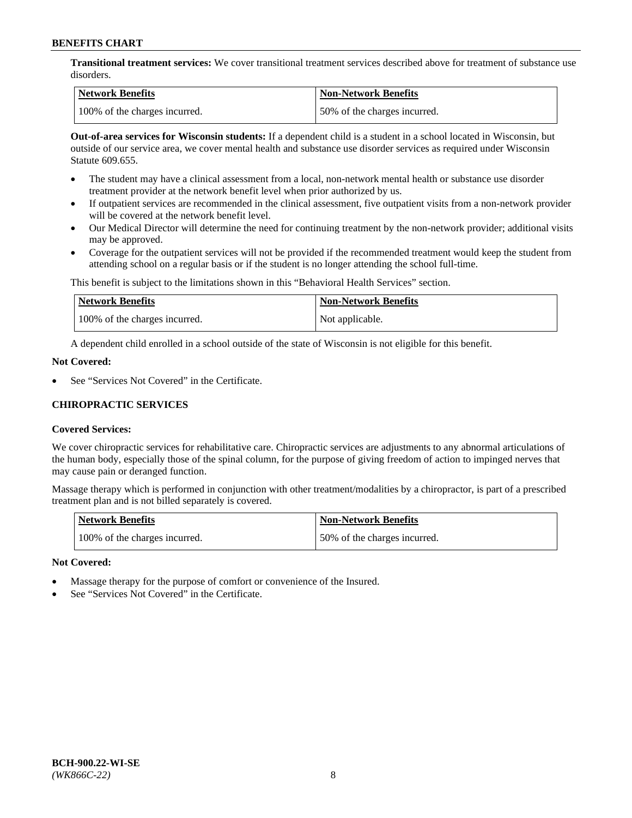**Transitional treatment services:** We cover transitional treatment services described above for treatment of substance use disorders.

| Network Benefits              | <b>Non-Network Benefits</b>  |
|-------------------------------|------------------------------|
| 100% of the charges incurred. | 50% of the charges incurred. |

**Out-of-area services for Wisconsin students:** If a dependent child is a student in a school located in Wisconsin, but outside of our service area, we cover mental health and substance use disorder services as required under Wisconsin Statute 609.655.

- The student may have a clinical assessment from a local, non-network mental health or substance use disorder treatment provider at the network benefit level when prior authorized by us.
- If outpatient services are recommended in the clinical assessment, five outpatient visits from a non-network provider will be covered at the network benefit level.
- Our Medical Director will determine the need for continuing treatment by the non-network provider; additional visits may be approved.
- Coverage for the outpatient services will not be provided if the recommended treatment would keep the student from attending school on a regular basis or if the student is no longer attending the school full-time.

This benefit is subject to the limitations shown in this "Behavioral Health Services" section.

| Network Benefits              | <b>Non-Network Benefits</b> |
|-------------------------------|-----------------------------|
| 100% of the charges incurred. | Not applicable.             |

A dependent child enrolled in a school outside of the state of Wisconsin is not eligible for this benefit.

#### **Not Covered:**

See "Services Not Covered" in the Certificate.

# **CHIROPRACTIC SERVICES**

# **Covered Services:**

We cover chiropractic services for rehabilitative care. Chiropractic services are adjustments to any abnormal articulations of the human body, especially those of the spinal column, for the purpose of giving freedom of action to impinged nerves that may cause pain or deranged function.

Massage therapy which is performed in conjunction with other treatment/modalities by a chiropractor, is part of a prescribed treatment plan and is not billed separately is covered.

| <b>Network Benefits</b>       | <b>Non-Network Benefits</b>  |
|-------------------------------|------------------------------|
| 100% of the charges incurred. | 50% of the charges incurred. |

# **Not Covered:**

- Massage therapy for the purpose of comfort or convenience of the Insured.
- See "Services Not Covered" in the Certificate.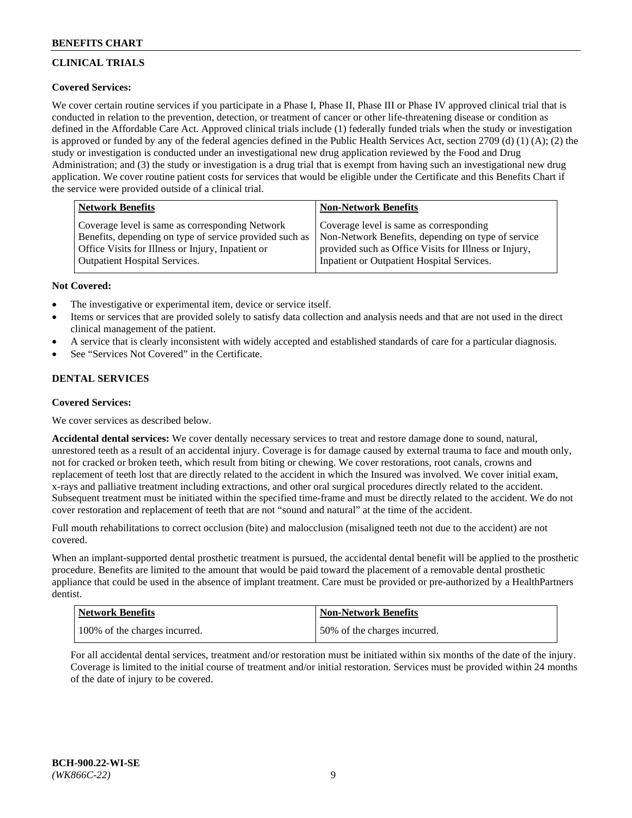# **CLINICAL TRIALS**

# **Covered Services:**

We cover certain routine services if you participate in a Phase I, Phase II, Phase III or Phase IV approved clinical trial that is conducted in relation to the prevention, detection, or treatment of cancer or other life-threatening disease or condition as defined in the Affordable Care Act. Approved clinical trials include (1) federally funded trials when the study or investigation is approved or funded by any of the federal agencies defined in the Public Health Services Act, section 2709 (d) (1) (A); (2) the study or investigation is conducted under an investigational new drug application reviewed by the Food and Drug Administration; and (3) the study or investigation is a drug trial that is exempt from having such an investigational new drug application. We cover routine patient costs for services that would be eligible under the Certificate and this Benefits Chart if the service were provided outside of a clinical trial.

| <b>Network Benefits</b>                                                                                                                                         | <b>Non-Network Benefits</b>                                                                                                                            |
|-----------------------------------------------------------------------------------------------------------------------------------------------------------------|--------------------------------------------------------------------------------------------------------------------------------------------------------|
| Coverage level is same as corresponding Network<br>Benefits, depending on type of service provided such as<br>Office Visits for Illness or Injury, Inpatient or | Coverage level is same as corresponding<br>Non-Network Benefits, depending on type of service<br>provided such as Office Visits for Illness or Injury, |
| <b>Outpatient Hospital Services.</b>                                                                                                                            | Inpatient or Outpatient Hospital Services.                                                                                                             |

#### **Not Covered:**

- The investigative or experimental item, device or service itself.
- Items or services that are provided solely to satisfy data collection and analysis needs and that are not used in the direct clinical management of the patient.
- A service that is clearly inconsistent with widely accepted and established standards of care for a particular diagnosis.
- See "Services Not Covered" in the Certificate.

# **DENTAL SERVICES**

# **Covered Services:**

We cover services as described below.

**Accidental dental services:** We cover dentally necessary services to treat and restore damage done to sound, natural, unrestored teeth as a result of an accidental injury. Coverage is for damage caused by external trauma to face and mouth only, not for cracked or broken teeth, which result from biting or chewing. We cover restorations, root canals, crowns and replacement of teeth lost that are directly related to the accident in which the Insured was involved. We cover initial exam, x-rays and palliative treatment including extractions, and other oral surgical procedures directly related to the accident. Subsequent treatment must be initiated within the specified time-frame and must be directly related to the accident. We do not cover restoration and replacement of teeth that are not "sound and natural" at the time of the accident.

Full mouth rehabilitations to correct occlusion (bite) and malocclusion (misaligned teeth not due to the accident) are not covered.

When an implant-supported dental prosthetic treatment is pursued, the accidental dental benefit will be applied to the prosthetic procedure. Benefits are limited to the amount that would be paid toward the placement of a removable dental prosthetic appliance that could be used in the absence of implant treatment. Care must be provided or pre-authorized by a HealthPartners dentist.

| Network Benefits              | <b>Non-Network Benefits</b>  |
|-------------------------------|------------------------------|
| 100% of the charges incurred. | 50% of the charges incurred. |

For all accidental dental services, treatment and/or restoration must be initiated within six months of the date of the injury. Coverage is limited to the initial course of treatment and/or initial restoration. Services must be provided within 24 months of the date of injury to be covered.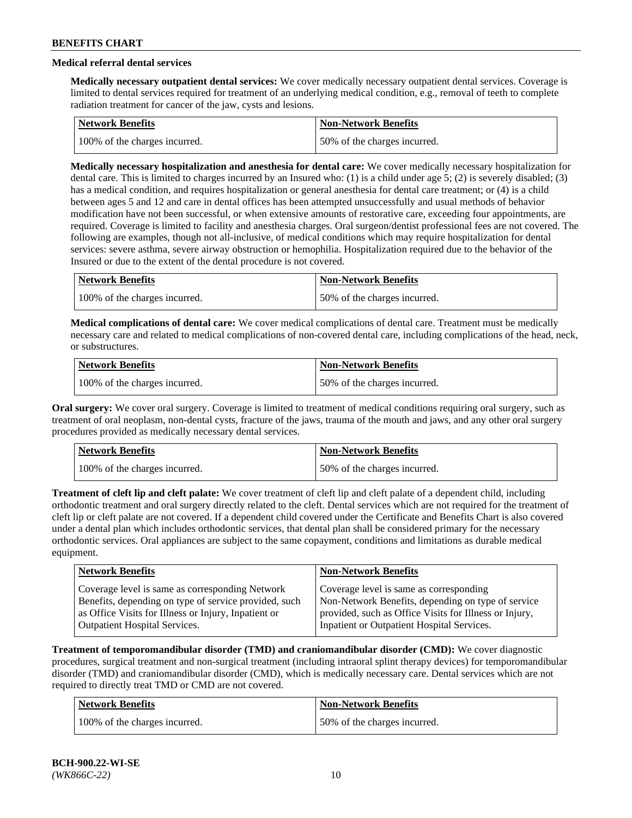# **Medical referral dental services**

**Medically necessary outpatient dental services:** We cover medically necessary outpatient dental services. Coverage is limited to dental services required for treatment of an underlying medical condition, e.g., removal of teeth to complete radiation treatment for cancer of the jaw, cysts and lesions.

| <b>Network Benefits</b>       | Non-Network Benefits         |
|-------------------------------|------------------------------|
| 100% of the charges incurred. | 50% of the charges incurred. |

**Medically necessary hospitalization and anesthesia for dental care:** We cover medically necessary hospitalization for dental care. This is limited to charges incurred by an Insured who: (1) is a child under age 5; (2) is severely disabled; (3) has a medical condition, and requires hospitalization or general anesthesia for dental care treatment; or (4) is a child between ages 5 and 12 and care in dental offices has been attempted unsuccessfully and usual methods of behavior modification have not been successful, or when extensive amounts of restorative care, exceeding four appointments, are required. Coverage is limited to facility and anesthesia charges. Oral surgeon/dentist professional fees are not covered. The following are examples, though not all-inclusive, of medical conditions which may require hospitalization for dental services: severe asthma, severe airway obstruction or hemophilia. Hospitalization required due to the behavior of the Insured or due to the extent of the dental procedure is not covered.

| Network Benefits              | <b>Non-Network Benefits</b>  |
|-------------------------------|------------------------------|
| 100% of the charges incurred. | 50% of the charges incurred. |

**Medical complications of dental care:** We cover medical complications of dental care. Treatment must be medically necessary care and related to medical complications of non-covered dental care, including complications of the head, neck, or substructures.

| Network Benefits              | <b>Non-Network Benefits</b>  |
|-------------------------------|------------------------------|
| 100% of the charges incurred. | 50% of the charges incurred. |

**Oral surgery:** We cover oral surgery. Coverage is limited to treatment of medical conditions requiring oral surgery, such as treatment of oral neoplasm, non-dental cysts, fracture of the jaws, trauma of the mouth and jaws, and any other oral surgery procedures provided as medically necessary dental services.

| Network Benefits              | <b>Non-Network Benefits</b>  |
|-------------------------------|------------------------------|
| 100% of the charges incurred. | 50% of the charges incurred. |

**Treatment of cleft lip and cleft palate:** We cover treatment of cleft lip and cleft palate of a dependent child, including orthodontic treatment and oral surgery directly related to the cleft. Dental services which are not required for the treatment of cleft lip or cleft palate are not covered. If a dependent child covered under the Certificate and Benefits Chart is also covered under a dental plan which includes orthodontic services, that dental plan shall be considered primary for the necessary orthodontic services. Oral appliances are subject to the same copayment, conditions and limitations as durable medical equipment.

| <b>Network Benefits</b>                               | <b>Non-Network Benefits</b>                            |
|-------------------------------------------------------|--------------------------------------------------------|
| Coverage level is same as corresponding Network       | Coverage level is same as corresponding                |
| Benefits, depending on type of service provided, such | Non-Network Benefits, depending on type of service     |
| as Office Visits for Illness or Injury, Inpatient or  | provided, such as Office Visits for Illness or Injury, |
| <b>Outpatient Hospital Services.</b>                  | Inpatient or Outpatient Hospital Services.             |

**Treatment of temporomandibular disorder (TMD) and craniomandibular disorder (CMD):** We cover diagnostic procedures, surgical treatment and non-surgical treatment (including intraoral splint therapy devices) for temporomandibular disorder (TMD) and craniomandibular disorder (CMD), which is medically necessary care. Dental services which are not required to directly treat TMD or CMD are not covered.

| <b>Network Benefits</b>       | <b>Non-Network Benefits</b>  |
|-------------------------------|------------------------------|
| 100% of the charges incurred. | 50% of the charges incurred. |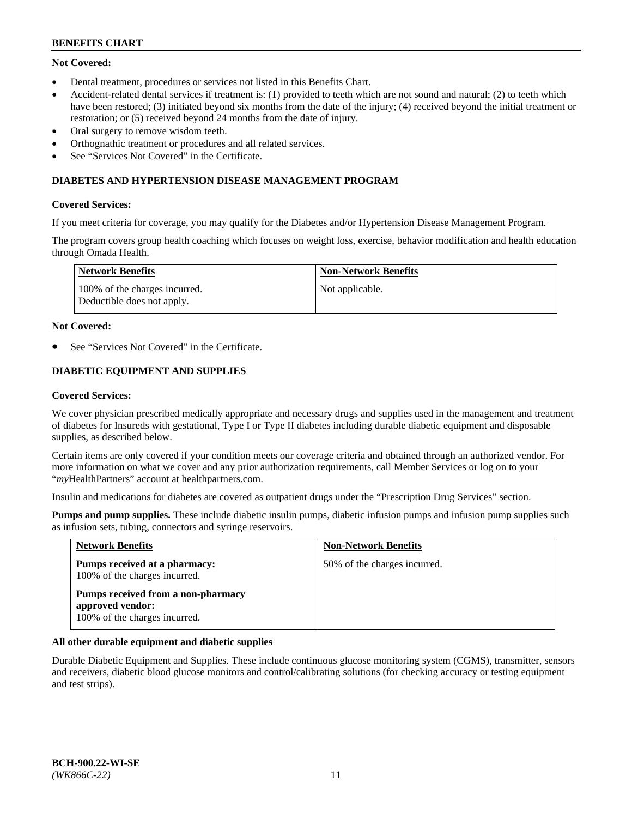# **Not Covered:**

- Dental treatment, procedures or services not listed in this Benefits Chart.
- Accident-related dental services if treatment is: (1) provided to teeth which are not sound and natural; (2) to teeth which have been restored; (3) initiated beyond six months from the date of the injury; (4) received beyond the initial treatment or restoration; or (5) received beyond 24 months from the date of injury.
- Oral surgery to remove wisdom teeth.
- Orthognathic treatment or procedures and all related services.
- See "Services Not Covered" in the Certificate.

#### **DIABETES AND HYPERTENSION DISEASE MANAGEMENT PROGRAM**

#### **Covered Services:**

If you meet criteria for coverage, you may qualify for the Diabetes and/or Hypertension Disease Management Program.

The program covers group health coaching which focuses on weight loss, exercise, behavior modification and health education through Omada Health.

| <b>Network Benefits</b>                                     | <b>Non-Network Benefits</b> |
|-------------------------------------------------------------|-----------------------------|
| 100% of the charges incurred.<br>Deductible does not apply. | Not applicable.             |

#### **Not Covered:**

See "Services Not Covered" in the Certificate.

# **DIABETIC EQUIPMENT AND SUPPLIES**

#### **Covered Services:**

We cover physician prescribed medically appropriate and necessary drugs and supplies used in the management and treatment of diabetes for Insureds with gestational, Type I or Type II diabetes including durable diabetic equipment and disposable supplies, as described below.

Certain items are only covered if your condition meets our coverage criteria and obtained through an authorized vendor. For more information on what we cover and any prior authorization requirements, call Member Services or log on to your "*my*HealthPartners" account at [healthpartners.com.](http://www.healthpartners.com/)

Insulin and medications for diabetes are covered as outpatient drugs under the "Prescription Drug Services" section.

**Pumps and pump supplies.** These include diabetic insulin pumps, diabetic infusion pumps and infusion pump supplies such as infusion sets, tubing, connectors and syringe reservoirs.

| <b>Network Benefits</b>                                                                 | <b>Non-Network Benefits</b>  |
|-----------------------------------------------------------------------------------------|------------------------------|
| Pumps received at a pharmacy:<br>100% of the charges incurred.                          | 50% of the charges incurred. |
| Pumps received from a non-pharmacy<br>approved vendor:<br>100% of the charges incurred. |                              |

# **All other durable equipment and diabetic supplies**

Durable Diabetic Equipment and Supplies. These include continuous glucose monitoring system (CGMS), transmitter, sensors and receivers, diabetic blood glucose monitors and control/calibrating solutions (for checking accuracy or testing equipment and test strips).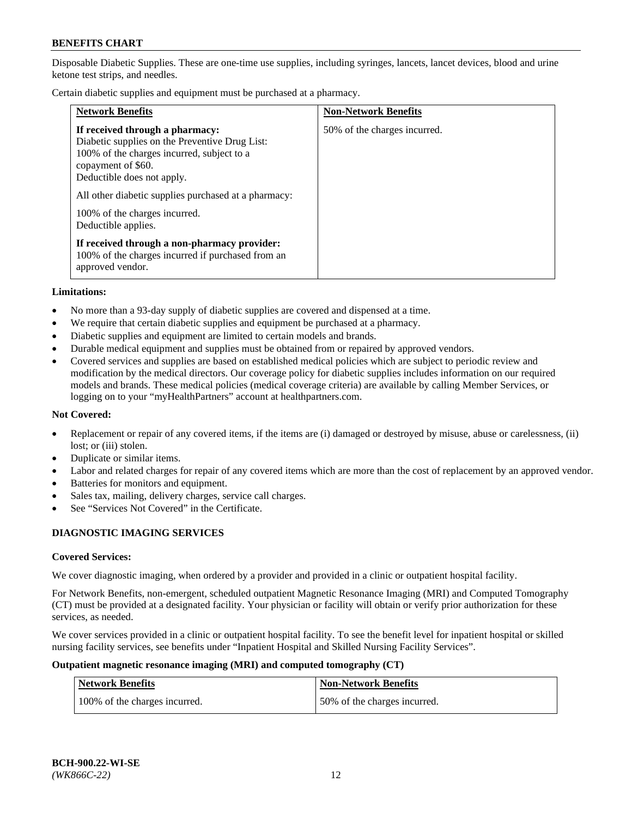Disposable Diabetic Supplies. These are one-time use supplies, including syringes, lancets, lancet devices, blood and urine ketone test strips, and needles.

Certain diabetic supplies and equipment must be purchased at a pharmacy.

| <b>Network Benefits</b>                                                                                                                                                                                                                                                                             | <b>Non-Network Benefits</b>  |
|-----------------------------------------------------------------------------------------------------------------------------------------------------------------------------------------------------------------------------------------------------------------------------------------------------|------------------------------|
| If received through a pharmacy:<br>Diabetic supplies on the Preventive Drug List:<br>100% of the charges incurred, subject to a<br>copayment of \$60.<br>Deductible does not apply.<br>All other diabetic supplies purchased at a pharmacy:<br>100% of the charges incurred.<br>Deductible applies. | 50% of the charges incurred. |
| If received through a non-pharmacy provider:<br>100% of the charges incurred if purchased from an<br>approved vendor.                                                                                                                                                                               |                              |

#### **Limitations:**

- No more than a 93-day supply of diabetic supplies are covered and dispensed at a time.
- We require that certain diabetic supplies and equipment be purchased at a pharmacy.
- Diabetic supplies and equipment are limited to certain models and brands.
- Durable medical equipment and supplies must be obtained from or repaired by approved vendors.
- Covered services and supplies are based on established medical policies which are subject to periodic review and modification by the medical directors. Our coverage policy for diabetic supplies includes information on our required models and brands. These medical policies (medical coverage criteria) are available by calling Member Services, or logging on to your "myHealthPartners" account at [healthpartners.com.](http://www.healthpartners.com/)

#### **Not Covered:**

- Replacement or repair of any covered items, if the items are (i) damaged or destroyed by misuse, abuse or carelessness, (ii) lost; or (iii) stolen.
- Duplicate or similar items.
- Labor and related charges for repair of any covered items which are more than the cost of replacement by an approved vendor.
- Batteries for monitors and equipment.
- Sales tax, mailing, delivery charges, service call charges.
- See "Services Not Covered" in the Certificate.

# **DIAGNOSTIC IMAGING SERVICES**

#### **Covered Services:**

We cover diagnostic imaging, when ordered by a provider and provided in a clinic or outpatient hospital facility.

For Network Benefits, non-emergent, scheduled outpatient Magnetic Resonance Imaging (MRI) and Computed Tomography (CT) must be provided at a designated facility. Your physician or facility will obtain or verify prior authorization for these services, as needed.

We cover services provided in a clinic or outpatient hospital facility. To see the benefit level for inpatient hospital or skilled nursing facility services, see benefits under "Inpatient Hospital and Skilled Nursing Facility Services".

#### **Outpatient magnetic resonance imaging (MRI) and computed tomography (CT)**

| <b>Network Benefits</b>       | <b>Non-Network Benefits</b>  |
|-------------------------------|------------------------------|
| 100% of the charges incurred. | 50% of the charges incurred. |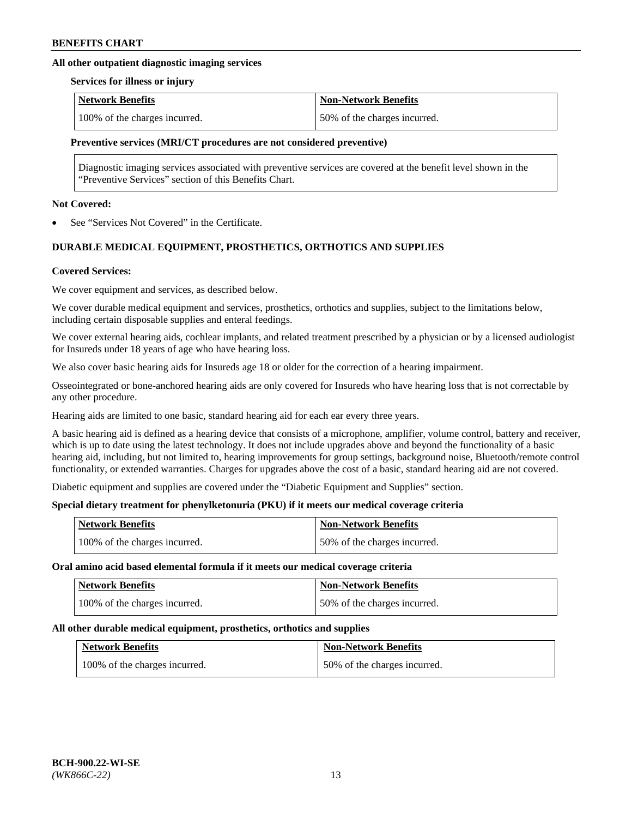# **All other outpatient diagnostic imaging services**

#### **Services for illness or injury**

| <b>Network Benefits</b>       | <b>Non-Network Benefits</b>  |
|-------------------------------|------------------------------|
| 100% of the charges incurred. | 50% of the charges incurred. |

#### **Preventive services (MRI/CT procedures are not considered preventive)**

Diagnostic imaging services associated with preventive services are covered at the benefit level shown in the "Preventive Services" section of this Benefits Chart.

#### **Not Covered:**

See "Services Not Covered" in the Certificate.

# **DURABLE MEDICAL EQUIPMENT, PROSTHETICS, ORTHOTICS AND SUPPLIES**

#### **Covered Services:**

We cover equipment and services, as described below.

We cover durable medical equipment and services, prosthetics, orthotics and supplies, subject to the limitations below, including certain disposable supplies and enteral feedings.

We cover external hearing aids, cochlear implants, and related treatment prescribed by a physician or by a licensed audiologist for Insureds under 18 years of age who have hearing loss.

We also cover basic hearing aids for Insureds age 18 or older for the correction of a hearing impairment.

Osseointegrated or bone-anchored hearing aids are only covered for Insureds who have hearing loss that is not correctable by any other procedure.

Hearing aids are limited to one basic, standard hearing aid for each ear every three years.

A basic hearing aid is defined as a hearing device that consists of a microphone, amplifier, volume control, battery and receiver, which is up to date using the latest technology. It does not include upgrades above and beyond the functionality of a basic hearing aid, including, but not limited to, hearing improvements for group settings, background noise, Bluetooth/remote control functionality, or extended warranties. Charges for upgrades above the cost of a basic, standard hearing aid are not covered.

Diabetic equipment and supplies are covered under the "Diabetic Equipment and Supplies" section.

# **Special dietary treatment for phenylketonuria (PKU) if it meets our medical coverage criteria**

| <b>Network Benefits</b>       | <b>Non-Network Benefits</b>  |
|-------------------------------|------------------------------|
| 100% of the charges incurred. | 50% of the charges incurred. |

#### **Oral amino acid based elemental formula if it meets our medical coverage criteria**

| <b>Network Benefits</b>       | <b>Non-Network Benefits</b>  |
|-------------------------------|------------------------------|
| 100% of the charges incurred. | 50% of the charges incurred. |

#### **All other durable medical equipment, prosthetics, orthotics and supplies**

| <b>Network Benefits</b>       | <b>Non-Network Benefits</b>  |
|-------------------------------|------------------------------|
| 100% of the charges incurred. | 50% of the charges incurred. |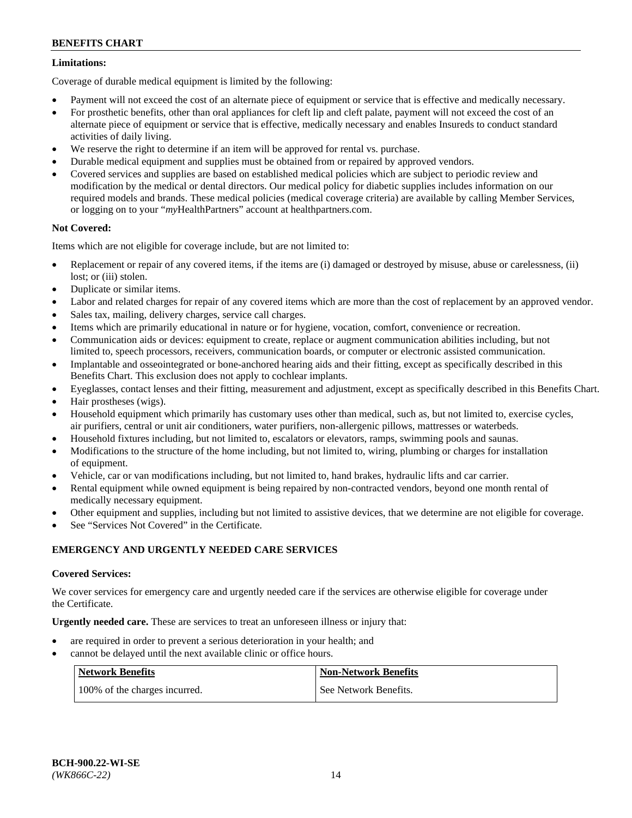# **Limitations:**

Coverage of durable medical equipment is limited by the following:

- Payment will not exceed the cost of an alternate piece of equipment or service that is effective and medically necessary.
- For prosthetic benefits, other than oral appliances for cleft lip and cleft palate, payment will not exceed the cost of an alternate piece of equipment or service that is effective, medically necessary and enables Insureds to conduct standard activities of daily living.
- We reserve the right to determine if an item will be approved for rental vs. purchase.
- Durable medical equipment and supplies must be obtained from or repaired by approved vendors.
- Covered services and supplies are based on established medical policies which are subject to periodic review and modification by the medical or dental directors. Our medical policy for diabetic supplies includes information on our required models and brands. These medical policies (medical coverage criteria) are available by calling Member Services, or logging on to your "*my*HealthPartners" account a[t healthpartners.com.](http://www.healthpartners.com/)

# **Not Covered:**

Items which are not eligible for coverage include, but are not limited to:

- Replacement or repair of any covered items, if the items are (i) damaged or destroyed by misuse, abuse or carelessness, (ii) lost; or (iii) stolen.
- Duplicate or similar items.
- Labor and related charges for repair of any covered items which are more than the cost of replacement by an approved vendor.
- Sales tax, mailing, delivery charges, service call charges.
- Items which are primarily educational in nature or for hygiene, vocation, comfort, convenience or recreation.
- Communication aids or devices: equipment to create, replace or augment communication abilities including, but not limited to, speech processors, receivers, communication boards, or computer or electronic assisted communication.
- Implantable and osseointegrated or bone-anchored hearing aids and their fitting, except as specifically described in this Benefits Chart. This exclusion does not apply to cochlear implants.
- Eyeglasses, contact lenses and their fitting, measurement and adjustment, except as specifically described in this Benefits Chart.
- Hair prostheses (wigs).
- Household equipment which primarily has customary uses other than medical, such as, but not limited to, exercise cycles, air purifiers, central or unit air conditioners, water purifiers, non-allergenic pillows, mattresses or waterbeds.
- Household fixtures including, but not limited to, escalators or elevators, ramps, swimming pools and saunas.
- Modifications to the structure of the home including, but not limited to, wiring, plumbing or charges for installation of equipment.
- Vehicle, car or van modifications including, but not limited to, hand brakes, hydraulic lifts and car carrier.
- Rental equipment while owned equipment is being repaired by non-contracted vendors, beyond one month rental of medically necessary equipment.
- Other equipment and supplies, including but not limited to assistive devices, that we determine are not eligible for coverage.
- See "Services Not Covered" in the Certificate.

# **EMERGENCY AND URGENTLY NEEDED CARE SERVICES**

# **Covered Services:**

We cover services for emergency care and urgently needed care if the services are otherwise eligible for coverage under the Certificate.

**Urgently needed care.** These are services to treat an unforeseen illness or injury that:

- are required in order to prevent a serious deterioration in your health; and
- cannot be delayed until the next available clinic or office hours.

| <b>Network Benefits</b>       | <b>Non-Network Benefits</b> |
|-------------------------------|-----------------------------|
| 100% of the charges incurred. | See Network Benefits.       |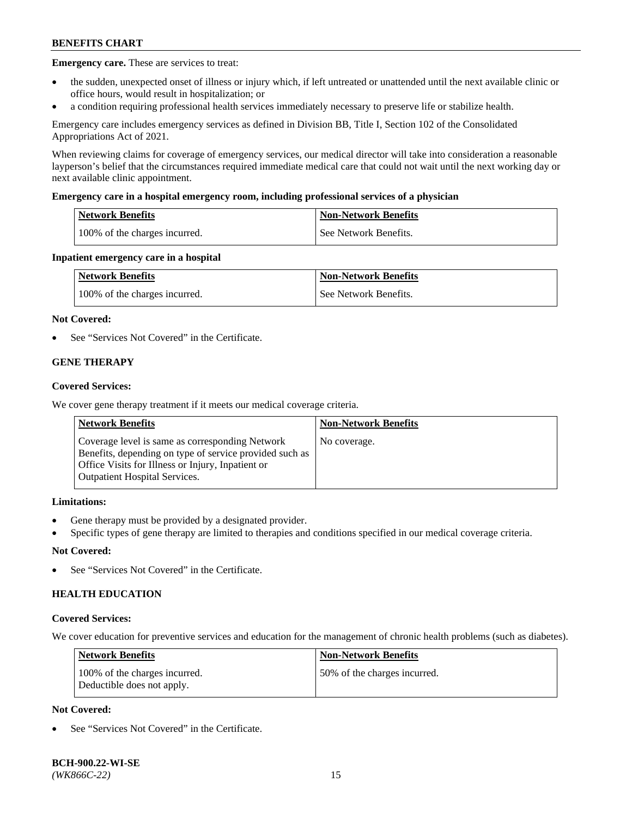**Emergency care.** These are services to treat:

- the sudden, unexpected onset of illness or injury which, if left untreated or unattended until the next available clinic or office hours, would result in hospitalization; or
- a condition requiring professional health services immediately necessary to preserve life or stabilize health.

Emergency care includes emergency services as defined in Division BB, Title I, Section 102 of the Consolidated Appropriations Act of 2021.

When reviewing claims for coverage of emergency services, our medical director will take into consideration a reasonable layperson's belief that the circumstances required immediate medical care that could not wait until the next working day or next available clinic appointment.

#### **Emergency care in a hospital emergency room, including professional services of a physician**

| <b>Network Benefits</b>       | <b>Non-Network Benefits</b> |
|-------------------------------|-----------------------------|
| 100% of the charges incurred. | See Network Benefits.       |

#### **Inpatient emergency care in a hospital**

| <b>Network Benefits</b>       | <b>Non-Network Benefits</b> |
|-------------------------------|-----------------------------|
| 100% of the charges incurred. | See Network Benefits.       |

#### **Not Covered:**

See "Services Not Covered" in the Certificate.

# **GENE THERAPY**

#### **Covered Services:**

We cover gene therapy treatment if it meets our medical coverage criteria.

| <b>Network Benefits</b>                                                                                                                                                                                 | <b>Non-Network Benefits</b> |
|---------------------------------------------------------------------------------------------------------------------------------------------------------------------------------------------------------|-----------------------------|
| Coverage level is same as corresponding Network<br>Benefits, depending on type of service provided such as<br>Office Visits for Illness or Injury, Inpatient or<br><b>Outpatient Hospital Services.</b> | No coverage.                |

## **Limitations:**

- Gene therapy must be provided by a designated provider.
- Specific types of gene therapy are limited to therapies and conditions specified in our medical coverage criteria.

# **Not Covered:**

See "Services Not Covered" in the Certificate.

# **HEALTH EDUCATION**

#### **Covered Services:**

We cover education for preventive services and education for the management of chronic health problems (such as diabetes).

| <b>Network Benefits</b>                                     | <b>Non-Network Benefits</b>  |
|-------------------------------------------------------------|------------------------------|
| 100% of the charges incurred.<br>Deductible does not apply. | 50% of the charges incurred. |

# **Not Covered:**

See "Services Not Covered" in the Certificate.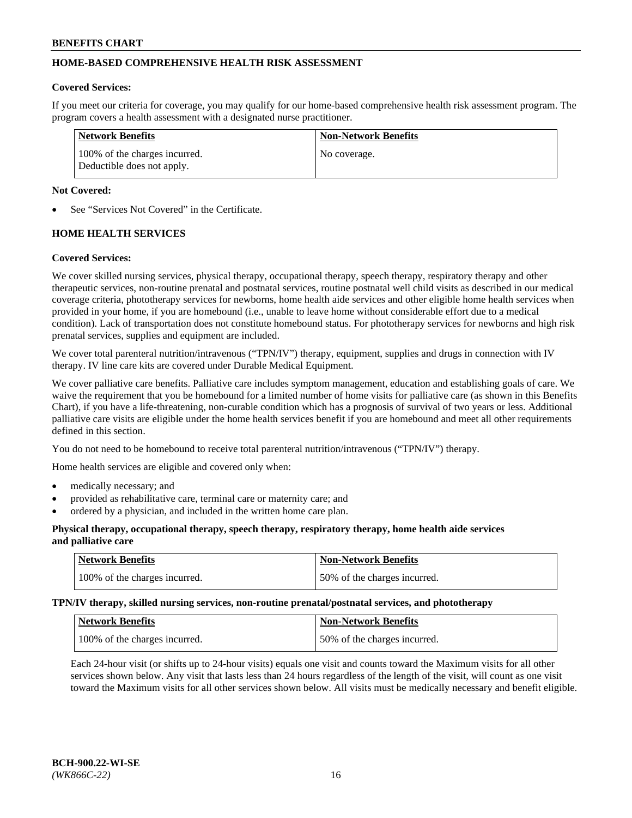# **HOME-BASED COMPREHENSIVE HEALTH RISK ASSESSMENT**

#### **Covered Services:**

If you meet our criteria for coverage, you may qualify for our home-based comprehensive health risk assessment program. The program covers a health assessment with a designated nurse practitioner.

| Network Benefits                                            | <b>Non-Network Benefits</b> |
|-------------------------------------------------------------|-----------------------------|
| 100% of the charges incurred.<br>Deductible does not apply. | No coverage.                |

#### **Not Covered:**

See "Services Not Covered" in the Certificate.

# **HOME HEALTH SERVICES**

#### **Covered Services:**

We cover skilled nursing services, physical therapy, occupational therapy, speech therapy, respiratory therapy and other therapeutic services, non-routine prenatal and postnatal services, routine postnatal well child visits as described in our medical coverage criteria, phototherapy services for newborns, home health aide services and other eligible home health services when provided in your home, if you are homebound (i.e., unable to leave home without considerable effort due to a medical condition). Lack of transportation does not constitute homebound status. For phototherapy services for newborns and high risk prenatal services, supplies and equipment are included.

We cover total parenteral nutrition/intravenous ("TPN/IV") therapy, equipment, supplies and drugs in connection with IV therapy. IV line care kits are covered under Durable Medical Equipment.

We cover palliative care benefits. Palliative care includes symptom management, education and establishing goals of care. We waive the requirement that you be homebound for a limited number of home visits for palliative care (as shown in this Benefits Chart), if you have a life-threatening, non-curable condition which has a prognosis of survival of two years or less. Additional palliative care visits are eligible under the home health services benefit if you are homebound and meet all other requirements defined in this section.

You do not need to be homebound to receive total parenteral nutrition/intravenous ("TPN/IV") therapy.

Home health services are eligible and covered only when:

- medically necessary; and
- provided as rehabilitative care, terminal care or maternity care; and
- ordered by a physician, and included in the written home care plan.

#### **Physical therapy, occupational therapy, speech therapy, respiratory therapy, home health aide services and palliative care**

| Network Benefits              | <b>Non-Network Benefits</b>  |
|-------------------------------|------------------------------|
| 100% of the charges incurred. | 50% of the charges incurred. |

**TPN/IV therapy, skilled nursing services, non-routine prenatal/postnatal services, and phototherapy**

| <b>Network Benefits</b>       | Non-Network Benefits         |
|-------------------------------|------------------------------|
| 100% of the charges incurred. | 50% of the charges incurred. |

Each 24-hour visit (or shifts up to 24-hour visits) equals one visit and counts toward the Maximum visits for all other services shown below. Any visit that lasts less than 24 hours regardless of the length of the visit, will count as one visit toward the Maximum visits for all other services shown below. All visits must be medically necessary and benefit eligible.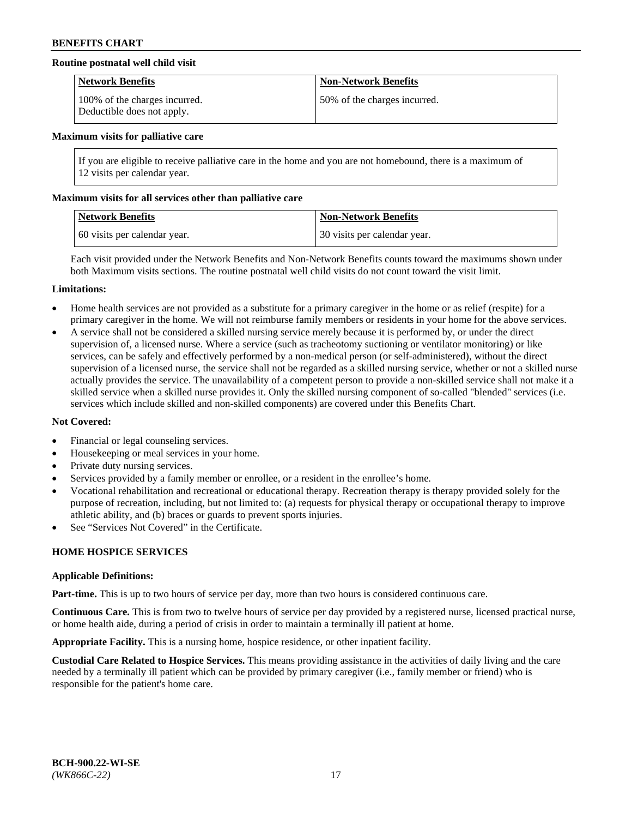## **Routine postnatal well child visit**

| <b>Network Benefits</b>                                     | <b>Non-Network Benefits</b>  |
|-------------------------------------------------------------|------------------------------|
| 100% of the charges incurred.<br>Deductible does not apply. | 50% of the charges incurred. |

#### **Maximum visits for palliative care**

If you are eligible to receive palliative care in the home and you are not homebound, there is a maximum of 12 visits per calendar year.

#### **Maximum visits for all services other than palliative care**

| Network Benefits             | <b>Non-Network Benefits</b>  |
|------------------------------|------------------------------|
| 60 visits per calendar year. | 30 visits per calendar year. |

Each visit provided under the Network Benefits and Non-Network Benefits counts toward the maximums shown under both Maximum visits sections. The routine postnatal well child visits do not count toward the visit limit.

#### **Limitations:**

- Home health services are not provided as a substitute for a primary caregiver in the home or as relief (respite) for a primary caregiver in the home. We will not reimburse family members or residents in your home for the above services.
- A service shall not be considered a skilled nursing service merely because it is performed by, or under the direct supervision of, a licensed nurse. Where a service (such as tracheotomy suctioning or ventilator monitoring) or like services, can be safely and effectively performed by a non-medical person (or self-administered), without the direct supervision of a licensed nurse, the service shall not be regarded as a skilled nursing service, whether or not a skilled nurse actually provides the service. The unavailability of a competent person to provide a non-skilled service shall not make it a skilled service when a skilled nurse provides it. Only the skilled nursing component of so-called "blended" services (i.e. services which include skilled and non-skilled components) are covered under this Benefits Chart.

#### **Not Covered:**

- Financial or legal counseling services.
- Housekeeping or meal services in your home.
- Private duty nursing services.
- Services provided by a family member or enrollee, or a resident in the enrollee's home.
- Vocational rehabilitation and recreational or educational therapy. Recreation therapy is therapy provided solely for the purpose of recreation, including, but not limited to: (a) requests for physical therapy or occupational therapy to improve athletic ability, and (b) braces or guards to prevent sports injuries.
- See "Services Not Covered" in the Certificate.

# **HOME HOSPICE SERVICES**

#### **Applicable Definitions:**

**Part-time.** This is up to two hours of service per day, more than two hours is considered continuous care.

**Continuous Care.** This is from two to twelve hours of service per day provided by a registered nurse, licensed practical nurse, or home health aide, during a period of crisis in order to maintain a terminally ill patient at home.

**Appropriate Facility.** This is a nursing home, hospice residence, or other inpatient facility.

**Custodial Care Related to Hospice Services.** This means providing assistance in the activities of daily living and the care needed by a terminally ill patient which can be provided by primary caregiver (i.e., family member or friend) who is responsible for the patient's home care.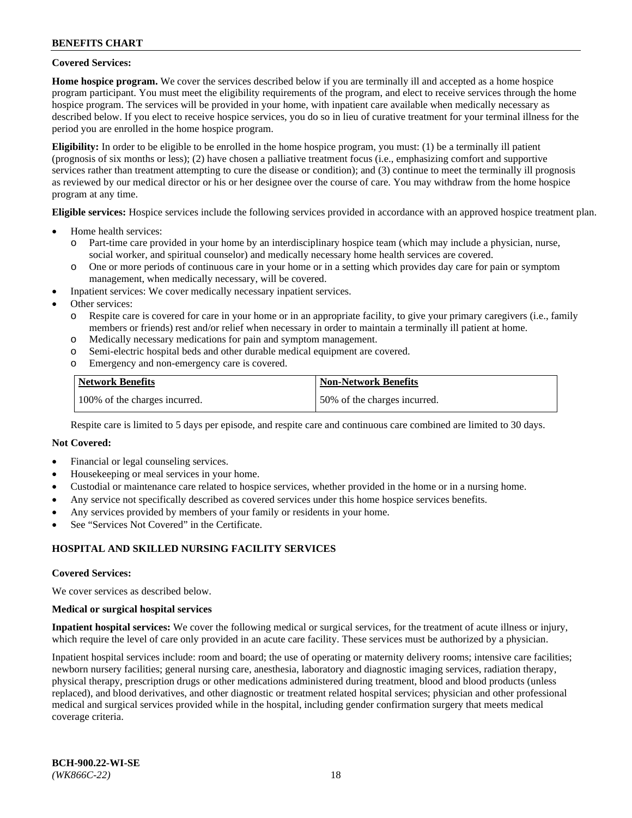#### **Covered Services:**

**Home hospice program.** We cover the services described below if you are terminally ill and accepted as a home hospice program participant. You must meet the eligibility requirements of the program, and elect to receive services through the home hospice program. The services will be provided in your home, with inpatient care available when medically necessary as described below. If you elect to receive hospice services, you do so in lieu of curative treatment for your terminal illness for the period you are enrolled in the home hospice program.

**Eligibility:** In order to be eligible to be enrolled in the home hospice program, you must: (1) be a terminally ill patient (prognosis of six months or less); (2) have chosen a palliative treatment focus (i.e., emphasizing comfort and supportive services rather than treatment attempting to cure the disease or condition); and (3) continue to meet the terminally ill prognosis as reviewed by our medical director or his or her designee over the course of care. You may withdraw from the home hospice program at any time.

**Eligible services:** Hospice services include the following services provided in accordance with an approved hospice treatment plan.

- Home health services:
	- o Part-time care provided in your home by an interdisciplinary hospice team (which may include a physician, nurse, social worker, and spiritual counselor) and medically necessary home health services are covered.
	- o One or more periods of continuous care in your home or in a setting which provides day care for pain or symptom management, when medically necessary, will be covered.
- Inpatient services: We cover medically necessary inpatient services.
- Other services:
	- o Respite care is covered for care in your home or in an appropriate facility, to give your primary caregivers (i.e., family members or friends) rest and/or relief when necessary in order to maintain a terminally ill patient at home.
	- o Medically necessary medications for pain and symptom management.
	- o Semi-electric hospital beds and other durable medical equipment are covered.
	- Emergency and non-emergency care is covered.

| Network Benefits              | <b>Non-Network Benefits</b>  |
|-------------------------------|------------------------------|
| 100% of the charges incurred. | 50% of the charges incurred. |

Respite care is limited to 5 days per episode, and respite care and continuous care combined are limited to 30 days.

# **Not Covered:**

- Financial or legal counseling services.
- Housekeeping or meal services in your home.
- Custodial or maintenance care related to hospice services, whether provided in the home or in a nursing home.
- Any service not specifically described as covered services under this home hospice services benefits.
- Any services provided by members of your family or residents in your home.
- See "Services Not Covered" in the Certificate.

# **HOSPITAL AND SKILLED NURSING FACILITY SERVICES**

#### **Covered Services:**

We cover services as described below.

#### **Medical or surgical hospital services**

**Inpatient hospital services:** We cover the following medical or surgical services, for the treatment of acute illness or injury, which require the level of care only provided in an acute care facility. These services must be authorized by a physician.

Inpatient hospital services include: room and board; the use of operating or maternity delivery rooms; intensive care facilities; newborn nursery facilities; general nursing care, anesthesia, laboratory and diagnostic imaging services, radiation therapy, physical therapy, prescription drugs or other medications administered during treatment, blood and blood products (unless replaced), and blood derivatives, and other diagnostic or treatment related hospital services; physician and other professional medical and surgical services provided while in the hospital, including gender confirmation surgery that meets medical coverage criteria.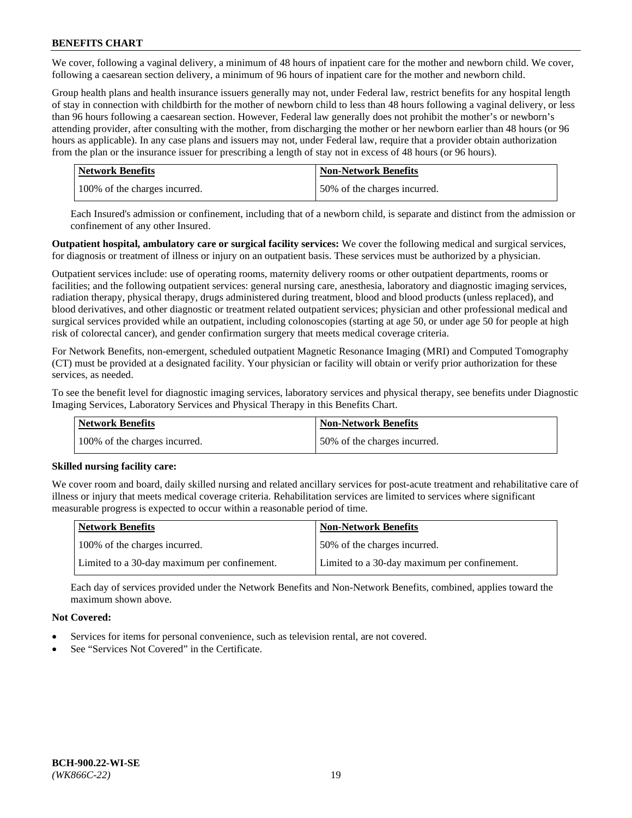We cover, following a vaginal delivery, a minimum of 48 hours of inpatient care for the mother and newborn child. We cover, following a caesarean section delivery, a minimum of 96 hours of inpatient care for the mother and newborn child.

Group health plans and health insurance issuers generally may not, under Federal law, restrict benefits for any hospital length of stay in connection with childbirth for the mother of newborn child to less than 48 hours following a vaginal delivery, or less than 96 hours following a caesarean section. However, Federal law generally does not prohibit the mother's or newborn's attending provider, after consulting with the mother, from discharging the mother or her newborn earlier than 48 hours (or 96 hours as applicable). In any case plans and issuers may not, under Federal law, require that a provider obtain authorization from the plan or the insurance issuer for prescribing a length of stay not in excess of 48 hours (or 96 hours).

| <b>Network Benefits</b>       | <b>Non-Network Benefits</b>  |
|-------------------------------|------------------------------|
| 100% of the charges incurred. | 50% of the charges incurred. |

Each Insured's admission or confinement, including that of a newborn child, is separate and distinct from the admission or confinement of any other Insured.

**Outpatient hospital, ambulatory care or surgical facility services:** We cover the following medical and surgical services, for diagnosis or treatment of illness or injury on an outpatient basis. These services must be authorized by a physician.

Outpatient services include: use of operating rooms, maternity delivery rooms or other outpatient departments, rooms or facilities; and the following outpatient services: general nursing care, anesthesia, laboratory and diagnostic imaging services, radiation therapy, physical therapy, drugs administered during treatment, blood and blood products (unless replaced), and blood derivatives, and other diagnostic or treatment related outpatient services; physician and other professional medical and surgical services provided while an outpatient, including colonoscopies (starting at age 50, or under age 50 for people at high risk of colorectal cancer), and gender confirmation surgery that meets medical coverage criteria.

For Network Benefits, non-emergent, scheduled outpatient Magnetic Resonance Imaging (MRI) and Computed Tomography (CT) must be provided at a designated facility. Your physician or facility will obtain or verify prior authorization for these services, as needed.

To see the benefit level for diagnostic imaging services, laboratory services and physical therapy, see benefits under Diagnostic Imaging Services, Laboratory Services and Physical Therapy in this Benefits Chart.

| <b>Network Benefits</b>       | <b>Non-Network Benefits</b>  |
|-------------------------------|------------------------------|
| 100% of the charges incurred. | 50% of the charges incurred. |

# **Skilled nursing facility care:**

We cover room and board, daily skilled nursing and related ancillary services for post-acute treatment and rehabilitative care of illness or injury that meets medical coverage criteria. Rehabilitation services are limited to services where significant measurable progress is expected to occur within a reasonable period of time.

| Network Benefits                             | <b>Non-Network Benefits</b>                  |
|----------------------------------------------|----------------------------------------------|
| 100% of the charges incurred.                | 50% of the charges incurred.                 |
| Limited to a 30-day maximum per confinement. | Limited to a 30-day maximum per confinement. |

Each day of services provided under the Network Benefits and Non-Network Benefits, combined, applies toward the maximum shown above.

# **Not Covered:**

- Services for items for personal convenience, such as television rental, are not covered.
- See "Services Not Covered" in the Certificate.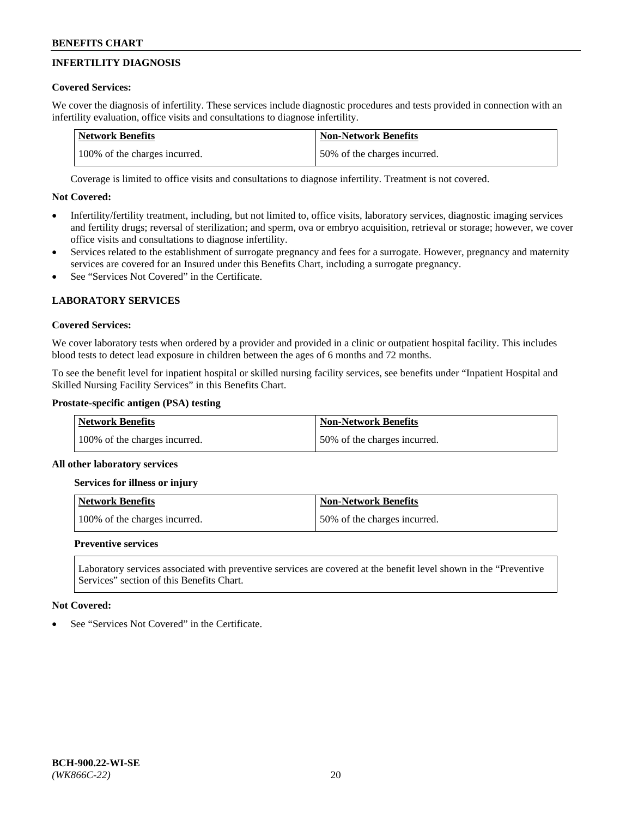# **INFERTILITY DIAGNOSIS**

# **Covered Services:**

We cover the diagnosis of infertility. These services include diagnostic procedures and tests provided in connection with an infertility evaluation, office visits and consultations to diagnose infertility.

| <b>Network Benefits</b>       | <b>Non-Network Benefits</b>  |
|-------------------------------|------------------------------|
| 100% of the charges incurred. | 50% of the charges incurred. |

Coverage is limited to office visits and consultations to diagnose infertility. Treatment is not covered.

# **Not Covered:**

- Infertility/fertility treatment, including, but not limited to, office visits, laboratory services, diagnostic imaging services and fertility drugs; reversal of sterilization; and sperm, ova or embryo acquisition, retrieval or storage; however, we cover office visits and consultations to diagnose infertility.
- Services related to the establishment of surrogate pregnancy and fees for a surrogate. However, pregnancy and maternity services are covered for an Insured under this Benefits Chart, including a surrogate pregnancy.
- See "Services Not Covered" in the Certificate.

# **LABORATORY SERVICES**

# **Covered Services:**

We cover laboratory tests when ordered by a provider and provided in a clinic or outpatient hospital facility. This includes blood tests to detect lead exposure in children between the ages of 6 months and 72 months.

To see the benefit level for inpatient hospital or skilled nursing facility services, see benefits under "Inpatient Hospital and Skilled Nursing Facility Services" in this Benefits Chart.

# **Prostate-specific antigen (PSA) testing**

| <b>Network Benefits</b>       | <b>Non-Network Benefits</b>  |
|-------------------------------|------------------------------|
| 100% of the charges incurred. | 50% of the charges incurred. |

# **All other laboratory services**

**Services for illness or injury**

| <b>Network Benefits</b>       | <b>Non-Network Benefits</b>  |
|-------------------------------|------------------------------|
| 100% of the charges incurred. | 50% of the charges incurred. |

# **Preventive services**

Laboratory services associated with preventive services are covered at the benefit level shown in the "Preventive Services" section of this Benefits Chart.

# **Not Covered:**

See "Services Not Covered" in the Certificate.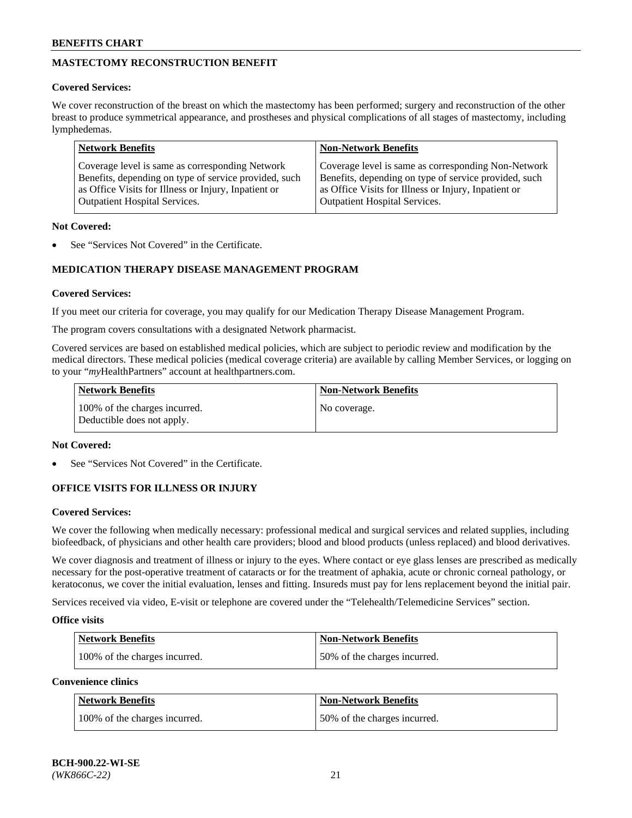# **MASTECTOMY RECONSTRUCTION BENEFIT**

# **Covered Services:**

We cover reconstruction of the breast on which the mastectomy has been performed; surgery and reconstruction of the other breast to produce symmetrical appearance, and prostheses and physical complications of all stages of mastectomy, including lymphedemas.

| <b>Network Benefits</b>                               | <b>Non-Network Benefits</b>                           |
|-------------------------------------------------------|-------------------------------------------------------|
| Coverage level is same as corresponding Network       | Coverage level is same as corresponding Non-Network   |
| Benefits, depending on type of service provided, such | Benefits, depending on type of service provided, such |
| as Office Visits for Illness or Injury, Inpatient or  | as Office Visits for Illness or Injury, Inpatient or  |
| <b>Outpatient Hospital Services.</b>                  | <b>Outpatient Hospital Services.</b>                  |

#### **Not Covered:**

See "Services Not Covered" in the Certificate.

# **MEDICATION THERAPY DISEASE MANAGEMENT PROGRAM**

# **Covered Services:**

If you meet our criteria for coverage, you may qualify for our Medication Therapy Disease Management Program.

The program covers consultations with a designated Network pharmacist.

Covered services are based on established medical policies, which are subject to periodic review and modification by the medical directors. These medical policies (medical coverage criteria) are available by calling Member Services, or logging on to your "*my*HealthPartners" account at [healthpartners.com.](http://www.healthpartners.com/)

| Network Benefits                                            | <b>Non-Network Benefits</b> |
|-------------------------------------------------------------|-----------------------------|
| 100% of the charges incurred.<br>Deductible does not apply. | No coverage.                |

#### **Not Covered:**

See "Services Not Covered" in the Certificate.

# **OFFICE VISITS FOR ILLNESS OR INJURY**

#### **Covered Services:**

We cover the following when medically necessary: professional medical and surgical services and related supplies, including biofeedback, of physicians and other health care providers; blood and blood products (unless replaced) and blood derivatives.

We cover diagnosis and treatment of illness or injury to the eyes. Where contact or eye glass lenses are prescribed as medically necessary for the post-operative treatment of cataracts or for the treatment of aphakia, acute or chronic corneal pathology, or keratoconus, we cover the initial evaluation, lenses and fitting. Insureds must pay for lens replacement beyond the initial pair.

Services received via video, E-visit or telephone are covered under the "Telehealth/Telemedicine Services" section.

#### **Office visits**

| <b>Network Benefits</b>       | <b>Non-Network Benefits</b>  |
|-------------------------------|------------------------------|
| 100% of the charges incurred. | 50% of the charges incurred. |

**Convenience clinics**

| <b>Network Benefits</b>       | <b>Non-Network Benefits</b>  |
|-------------------------------|------------------------------|
| 100% of the charges incurred. | 50% of the charges incurred. |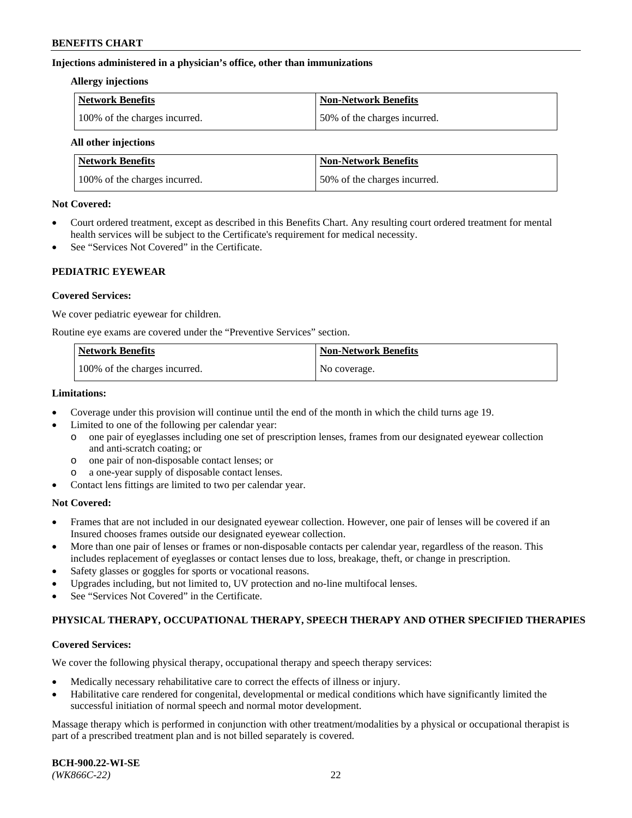#### **Injections administered in a physician's office, other than immunizations**

#### **Allergy injections**

| Network Benefits              | Non-Network Benefits         |
|-------------------------------|------------------------------|
| 100% of the charges incurred. | 50% of the charges incurred. |

#### **All other injections**

| <b>Network Benefits</b>       | <b>Non-Network Benefits</b>  |  |
|-------------------------------|------------------------------|--|
| 100% of the charges incurred. | 50% of the charges incurred. |  |

#### **Not Covered:**

- Court ordered treatment, except as described in this Benefits Chart. Any resulting court ordered treatment for mental health services will be subject to the Certificate's requirement for medical necessity.
- See "Services Not Covered" in the Certificate.

# **PEDIATRIC EYEWEAR**

# **Covered Services:**

We cover pediatric eyewear for children.

Routine eye exams are covered under the "Preventive Services" section.

| Network Benefits              | <b>Non-Network Benefits</b> |
|-------------------------------|-----------------------------|
| 100% of the charges incurred. | No coverage.                |

#### **Limitations:**

- Coverage under this provision will continue until the end of the month in which the child turns age 19.
- Limited to one of the following per calendar year:
	- o one pair of eyeglasses including one set of prescription lenses, frames from our designated eyewear collection and anti-scratch coating; or
	- o one pair of non-disposable contact lenses; or
	- o a one-year supply of disposable contact lenses.
- Contact lens fittings are limited to two per calendar year.

# **Not Covered:**

- Frames that are not included in our designated eyewear collection. However, one pair of lenses will be covered if an Insured chooses frames outside our designated eyewear collection.
- More than one pair of lenses or frames or non-disposable contacts per calendar year, regardless of the reason. This includes replacement of eyeglasses or contact lenses due to loss, breakage, theft, or change in prescription.
- Safety glasses or goggles for sports or vocational reasons.
- Upgrades including, but not limited to, UV protection and no-line multifocal lenses.
- See "Services Not Covered" in the Certificate.

# **PHYSICAL THERAPY, OCCUPATIONAL THERAPY, SPEECH THERAPY AND OTHER SPECIFIED THERAPIES**

# **Covered Services:**

We cover the following physical therapy, occupational therapy and speech therapy services:

- Medically necessary rehabilitative care to correct the effects of illness or injury.
- Habilitative care rendered for congenital, developmental or medical conditions which have significantly limited the successful initiation of normal speech and normal motor development.

Massage therapy which is performed in conjunction with other treatment/modalities by a physical or occupational therapist is part of a prescribed treatment plan and is not billed separately is covered.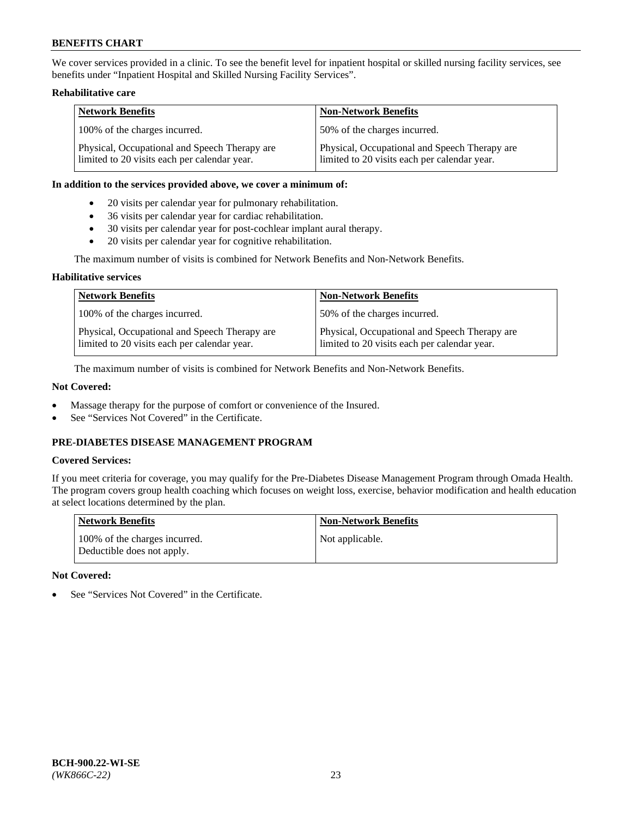We cover services provided in a clinic. To see the benefit level for inpatient hospital or skilled nursing facility services, see benefits under "Inpatient Hospital and Skilled Nursing Facility Services".

# **Rehabilitative care**

| <b>Network Benefits</b>                                                                       | <b>Non-Network Benefits</b>                                                                   |
|-----------------------------------------------------------------------------------------------|-----------------------------------------------------------------------------------------------|
| 100% of the charges incurred.                                                                 | 50% of the charges incurred.                                                                  |
| Physical, Occupational and Speech Therapy are<br>limited to 20 visits each per calendar year. | Physical, Occupational and Speech Therapy are<br>limited to 20 visits each per calendar year. |

#### **In addition to the services provided above, we cover a minimum of:**

- 20 visits per calendar year for pulmonary rehabilitation.
- 36 visits per calendar year for cardiac rehabilitation.
- 30 visits per calendar year for post-cochlear implant aural therapy.
- 20 visits per calendar year for cognitive rehabilitation.

The maximum number of visits is combined for Network Benefits and Non-Network Benefits.

# **Habilitative services**

| <b>Network Benefits</b>                                                                       | <b>Non-Network Benefits</b>                                                                   |
|-----------------------------------------------------------------------------------------------|-----------------------------------------------------------------------------------------------|
| 100% of the charges incurred.                                                                 | 50% of the charges incurred.                                                                  |
| Physical, Occupational and Speech Therapy are<br>limited to 20 visits each per calendar year. | Physical, Occupational and Speech Therapy are<br>limited to 20 visits each per calendar year. |

The maximum number of visits is combined for Network Benefits and Non-Network Benefits.

# **Not Covered:**

- Massage therapy for the purpose of comfort or convenience of the Insured.
- See "Services Not Covered" in the Certificate.

# **PRE-DIABETES DISEASE MANAGEMENT PROGRAM**

# **Covered Services:**

If you meet criteria for coverage, you may qualify for the Pre-Diabetes Disease Management Program through Omada Health. The program covers group health coaching which focuses on weight loss, exercise, behavior modification and health education at select locations determined by the plan.

| <b>Network Benefits</b>                                     | <b>Non-Network Benefits</b> |
|-------------------------------------------------------------|-----------------------------|
| 100% of the charges incurred.<br>Deductible does not apply. | Not applicable.             |

# **Not Covered:**

See "Services Not Covered" in the Certificate.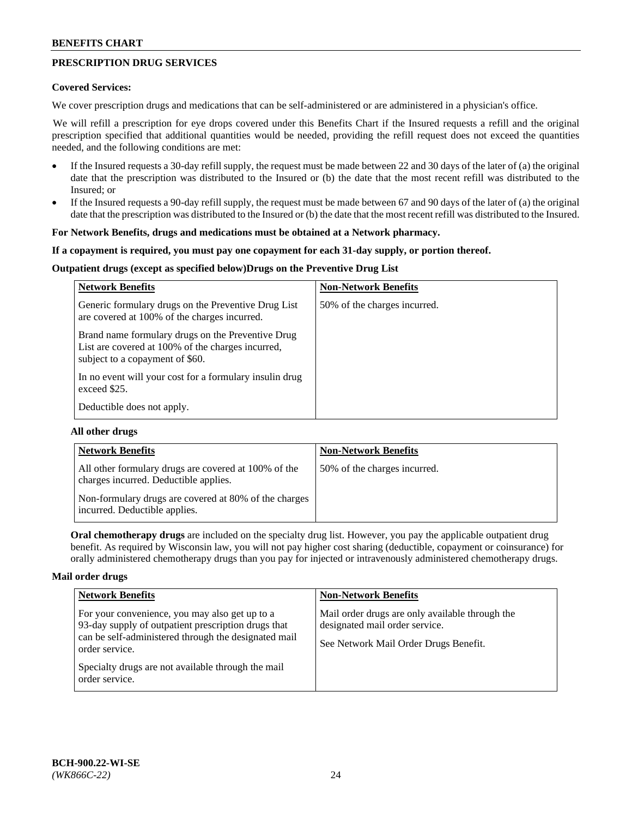# **PRESCRIPTION DRUG SERVICES**

#### **Covered Services:**

We cover prescription drugs and medications that can be self-administered or are administered in a physician's office.

We will refill a prescription for eye drops covered under this Benefits Chart if the Insured requests a refill and the original prescription specified that additional quantities would be needed, providing the refill request does not exceed the quantities needed, and the following conditions are met:

- If the Insured requests a 30-day refill supply, the request must be made between 22 and 30 days of the later of (a) the original date that the prescription was distributed to the Insured or (b) the date that the most recent refill was distributed to the Insured; or
- If the Insured requests a 90-day refill supply, the request must be made between 67 and 90 days of the later of (a) the original date that the prescription was distributed to the Insured or (b) the date that the most recent refill was distributed to the Insured.

#### **For Network Benefits, drugs and medications must be obtained at a Network pharmacy.**

#### **If a copayment is required, you must pay one copayment for each 31-day supply, or portion thereof.**

# **Outpatient drugs (except as specified below)Drugs on the Preventive Drug List**

| <b>Network Benefits</b>                                                                                                                   | <b>Non-Network Benefits</b>  |
|-------------------------------------------------------------------------------------------------------------------------------------------|------------------------------|
| Generic formulary drugs on the Preventive Drug List<br>are covered at 100% of the charges incurred.                                       | 50% of the charges incurred. |
| Brand name formulary drugs on the Preventive Drug<br>List are covered at 100% of the charges incurred,<br>subject to a copayment of \$60. |                              |
| In no event will your cost for a formulary insulin drug<br>exceed \$25.                                                                   |                              |
| Deductible does not apply.                                                                                                                |                              |

# **All other drugs**

| <b>Network Benefits</b>                                                                       | <b>Non-Network Benefits</b>  |
|-----------------------------------------------------------------------------------------------|------------------------------|
| All other formulary drugs are covered at 100% of the<br>charges incurred. Deductible applies. | 50% of the charges incurred. |
| Non-formulary drugs are covered at 80% of the charges<br>incurred. Deductible applies.        |                              |

**Oral chemotherapy drugs** are included on the specialty drug list. However, you pay the applicable outpatient drug benefit. As required by Wisconsin law, you will not pay higher cost sharing (deductible, copayment or coinsurance) for orally administered chemotherapy drugs than you pay for injected or intravenously administered chemotherapy drugs.

#### **Mail order drugs**

| <b>Network Benefits</b>                                                                                                                                                                                                                                 | <b>Non-Network Benefits</b>                                                                                                |
|---------------------------------------------------------------------------------------------------------------------------------------------------------------------------------------------------------------------------------------------------------|----------------------------------------------------------------------------------------------------------------------------|
| For your convenience, you may also get up to a<br>93-day supply of outpatient prescription drugs that<br>can be self-administered through the designated mail<br>order service.<br>Specialty drugs are not available through the mail<br>order service. | Mail order drugs are only available through the<br>designated mail order service.<br>See Network Mail Order Drugs Benefit. |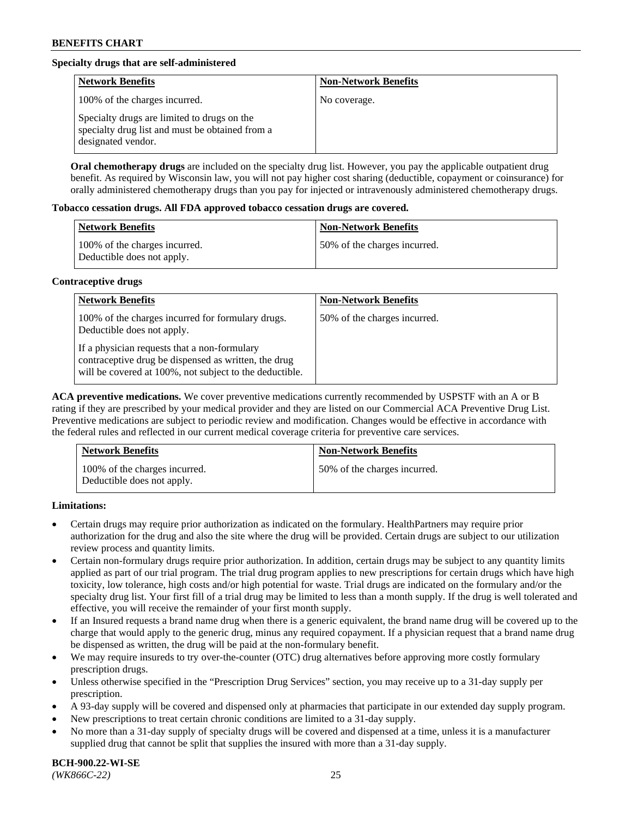# **Specialty drugs that are self-administered**

| <b>Network Benefits</b>                                                                                              | <b>Non-Network Benefits</b> |
|----------------------------------------------------------------------------------------------------------------------|-----------------------------|
| 100% of the charges incurred.                                                                                        | No coverage.                |
| Specialty drugs are limited to drugs on the<br>specialty drug list and must be obtained from a<br>designated vendor. |                             |

**Oral chemotherapy drugs** are included on the specialty drug list. However, you pay the applicable outpatient drug benefit. As required by Wisconsin law, you will not pay higher cost sharing (deductible, copayment or coinsurance) for orally administered chemotherapy drugs than you pay for injected or intravenously administered chemotherapy drugs.

#### **Tobacco cessation drugs. All FDA approved tobacco cessation drugs are covered.**

| Network Benefits                                            | <b>Non-Network Benefits</b>   |
|-------------------------------------------------------------|-------------------------------|
| 100% of the charges incurred.<br>Deductible does not apply. | 150% of the charges incurred. |

# **Contraceptive drugs**

| <b>Network Benefits</b>                                                                                                                                         | <b>Non-Network Benefits</b>  |
|-----------------------------------------------------------------------------------------------------------------------------------------------------------------|------------------------------|
| 100% of the charges incurred for formulary drugs.<br>Deductible does not apply.                                                                                 | 50% of the charges incurred. |
| If a physician requests that a non-formulary<br>contraceptive drug be dispensed as written, the drug<br>will be covered at 100%, not subject to the deductible. |                              |

**ACA preventive medications.** We cover preventive medications currently recommended by USPSTF with an A or B rating if they are prescribed by your medical provider and they are listed on our Commercial ACA Preventive Drug List. Preventive medications are subject to periodic review and modification. Changes would be effective in accordance with the federal rules and reflected in our current medical coverage criteria for preventive care services.

| <b>Network Benefits</b>                                     | <b>Non-Network Benefits</b>  |
|-------------------------------------------------------------|------------------------------|
| 100% of the charges incurred.<br>Deductible does not apply. | 50% of the charges incurred. |

# **Limitations:**

- Certain drugs may require prior authorization as indicated on the formulary. HealthPartners may require prior authorization for the drug and also the site where the drug will be provided. Certain drugs are subject to our utilization review process and quantity limits.
- Certain non-formulary drugs require prior authorization. In addition, certain drugs may be subject to any quantity limits applied as part of our trial program. The trial drug program applies to new prescriptions for certain drugs which have high toxicity, low tolerance, high costs and/or high potential for waste. Trial drugs are indicated on the formulary and/or the specialty drug list. Your first fill of a trial drug may be limited to less than a month supply. If the drug is well tolerated and effective, you will receive the remainder of your first month supply.
- If an Insured requests a brand name drug when there is a generic equivalent, the brand name drug will be covered up to the charge that would apply to the generic drug, minus any required copayment. If a physician request that a brand name drug be dispensed as written, the drug will be paid at the non-formulary benefit.
- We may require insureds to try over-the-counter (OTC) drug alternatives before approving more costly formulary prescription drugs.
- Unless otherwise specified in the "Prescription Drug Services" section, you may receive up to a 31-day supply per prescription.
- A 93-day supply will be covered and dispensed only at pharmacies that participate in our extended day supply program.
- New prescriptions to treat certain chronic conditions are limited to a 31-day supply.
- No more than a 31-day supply of specialty drugs will be covered and dispensed at a time, unless it is a manufacturer supplied drug that cannot be split that supplies the insured with more than a 31-day supply.

**BCH-900.22-WI-SE**  *(WK866C-22)* 25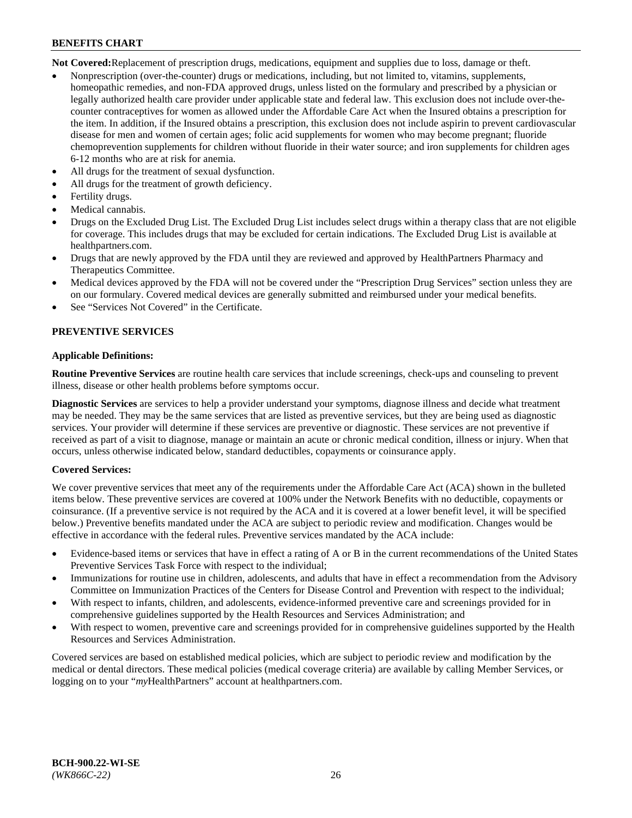**Not Covered:**Replacement of prescription drugs, medications, equipment and supplies due to loss, damage or theft.

- Nonprescription (over-the-counter) drugs or medications, including, but not limited to, vitamins, supplements, homeopathic remedies, and non-FDA approved drugs, unless listed on the formulary and prescribed by a physician or legally authorized health care provider under applicable state and federal law. This exclusion does not include over-thecounter contraceptives for women as allowed under the Affordable Care Act when the Insured obtains a prescription for the item. In addition, if the Insured obtains a prescription, this exclusion does not include aspirin to prevent cardiovascular disease for men and women of certain ages; folic acid supplements for women who may become pregnant; fluoride chemoprevention supplements for children without fluoride in their water source; and iron supplements for children ages 6-12 months who are at risk for anemia.
- All drugs for the treatment of sexual dysfunction.
- All drugs for the treatment of growth deficiency.
- Fertility drugs.
- Medical cannabis.
- Drugs on the Excluded Drug List. The Excluded Drug List includes select drugs within a therapy class that are not eligible for coverage. This includes drugs that may be excluded for certain indications. The Excluded Drug List is available at [healthpartners.com.](http://www.healthpartners.com/)
- Drugs that are newly approved by the FDA until they are reviewed and approved by HealthPartners Pharmacy and Therapeutics Committee.
- Medical devices approved by the FDA will not be covered under the "Prescription Drug Services" section unless they are on our formulary. Covered medical devices are generally submitted and reimbursed under your medical benefits.
- See "Services Not Covered" in the Certificate.

# **PREVENTIVE SERVICES**

#### **Applicable Definitions:**

**Routine Preventive Services** are routine health care services that include screenings, check-ups and counseling to prevent illness, disease or other health problems before symptoms occur.

**Diagnostic Services** are services to help a provider understand your symptoms, diagnose illness and decide what treatment may be needed. They may be the same services that are listed as preventive services, but they are being used as diagnostic services. Your provider will determine if these services are preventive or diagnostic. These services are not preventive if received as part of a visit to diagnose, manage or maintain an acute or chronic medical condition, illness or injury. When that occurs, unless otherwise indicated below, standard deductibles, copayments or coinsurance apply.

# **Covered Services:**

We cover preventive services that meet any of the requirements under the Affordable Care Act (ACA) shown in the bulleted items below. These preventive services are covered at 100% under the Network Benefits with no deductible, copayments or coinsurance. (If a preventive service is not required by the ACA and it is covered at a lower benefit level, it will be specified below.) Preventive benefits mandated under the ACA are subject to periodic review and modification. Changes would be effective in accordance with the federal rules. Preventive services mandated by the ACA include:

- Evidence-based items or services that have in effect a rating of A or B in the current recommendations of the United States Preventive Services Task Force with respect to the individual;
- Immunizations for routine use in children, adolescents, and adults that have in effect a recommendation from the Advisory Committee on Immunization Practices of the Centers for Disease Control and Prevention with respect to the individual;
- With respect to infants, children, and adolescents, evidence-informed preventive care and screenings provided for in comprehensive guidelines supported by the Health Resources and Services Administration; and
- With respect to women, preventive care and screenings provided for in comprehensive guidelines supported by the Health Resources and Services Administration.

Covered services are based on established medical policies, which are subject to periodic review and modification by the medical or dental directors. These medical policies (medical coverage criteria) are available by calling Member Services, or logging on to your "*my*HealthPartners" account at [healthpartners.com.](https://www.healthpartners.com/hp/index.html)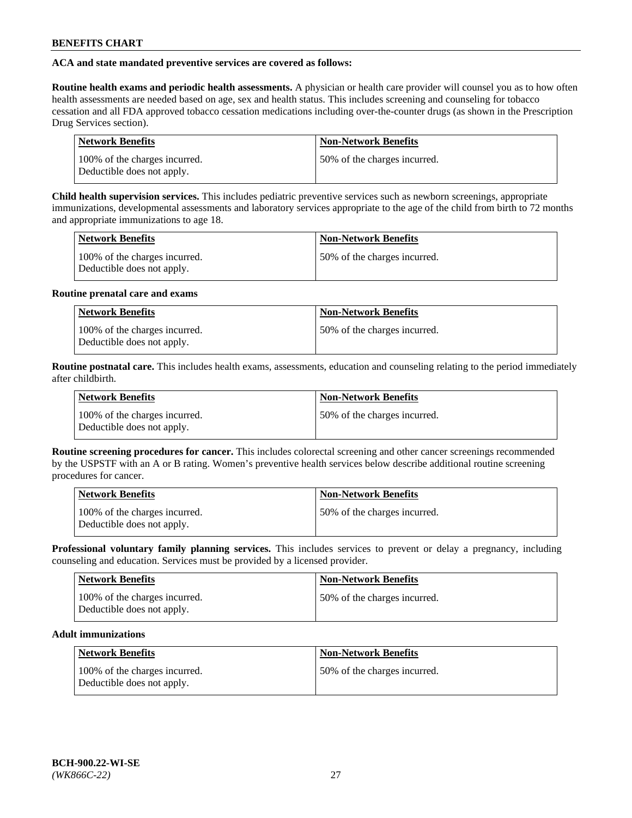# **ACA and state mandated preventive services are covered as follows:**

**Routine health exams and periodic health assessments.** A physician or health care provider will counsel you as to how often health assessments are needed based on age, sex and health status. This includes screening and counseling for tobacco cessation and all FDA approved tobacco cessation medications including over-the-counter drugs (as shown in the Prescription Drug Services section).

| <b>Network Benefits</b>                                     | <b>Non-Network Benefits</b>   |
|-------------------------------------------------------------|-------------------------------|
| 100% of the charges incurred.<br>Deductible does not apply. | 150% of the charges incurred. |

**Child health supervision services.** This includes pediatric preventive services such as newborn screenings, appropriate immunizations, developmental assessments and laboratory services appropriate to the age of the child from birth to 72 months and appropriate immunizations to age 18.

| <b>Network Benefits</b>                                     | <b>Non-Network Benefits</b>  |
|-------------------------------------------------------------|------------------------------|
| 100% of the charges incurred.<br>Deductible does not apply. | 50% of the charges incurred. |

#### **Routine prenatal care and exams**

| <b>Network Benefits</b>                                     | <b>Non-Network Benefits</b>  |
|-------------------------------------------------------------|------------------------------|
| 100% of the charges incurred.<br>Deductible does not apply. | 50% of the charges incurred. |

**Routine postnatal care.** This includes health exams, assessments, education and counseling relating to the period immediately after childbirth.

| <b>Network Benefits</b>                                     | <b>Non-Network Benefits</b>  |
|-------------------------------------------------------------|------------------------------|
| 100% of the charges incurred.<br>Deductible does not apply. | 50% of the charges incurred. |

**Routine screening procedures for cancer.** This includes colorectal screening and other cancer screenings recommended by the USPSTF with an A or B rating. Women's preventive health services below describe additional routine screening procedures for cancer.

| <b>Network Benefits</b>                                     | <b>Non-Network Benefits</b>   |
|-------------------------------------------------------------|-------------------------------|
| 100% of the charges incurred.<br>Deductible does not apply. | 150% of the charges incurred. |

**Professional voluntary family planning services.** This includes services to prevent or delay a pregnancy, including counseling and education. Services must be provided by a licensed provider.

| <b>Network Benefits</b>                                     | <b>Non-Network Benefits</b>  |
|-------------------------------------------------------------|------------------------------|
| 100% of the charges incurred.<br>Deductible does not apply. | 50% of the charges incurred. |

# **Adult immunizations**

| Network Benefits                                            | <b>Non-Network Benefits</b>  |
|-------------------------------------------------------------|------------------------------|
| 100% of the charges incurred.<br>Deductible does not apply. | 50% of the charges incurred. |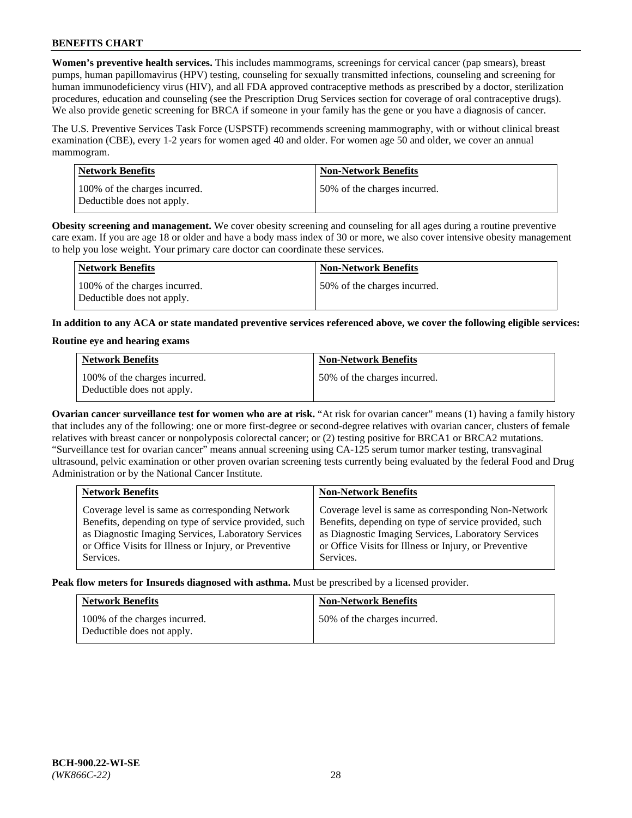**Women's preventive health services.** This includes mammograms, screenings for cervical cancer (pap smears), breast pumps, human papillomavirus (HPV) testing, counseling for sexually transmitted infections, counseling and screening for human immunodeficiency virus (HIV), and all FDA approved contraceptive methods as prescribed by a doctor, sterilization procedures, education and counseling (see the Prescription Drug Services section for coverage of oral contraceptive drugs). We also provide genetic screening for BRCA if someone in your family has the gene or you have a diagnosis of cancer.

The U.S. Preventive Services Task Force (USPSTF) recommends screening mammography, with or without clinical breast examination (CBE), every 1-2 years for women aged 40 and older. For women age 50 and older, we cover an annual mammogram.

| <b>Network Benefits</b>                                     | <b>Non-Network Benefits</b>  |
|-------------------------------------------------------------|------------------------------|
| 100% of the charges incurred.<br>Deductible does not apply. | 50% of the charges incurred. |

**Obesity screening and management.** We cover obesity screening and counseling for all ages during a routine preventive care exam. If you are age 18 or older and have a body mass index of 30 or more, we also cover intensive obesity management to help you lose weight. Your primary care doctor can coordinate these services.

| Network Benefits                                            | <b>Non-Network Benefits</b>  |
|-------------------------------------------------------------|------------------------------|
| 100% of the charges incurred.<br>Deductible does not apply. | 50% of the charges incurred. |

**In addition to any ACA or state mandated preventive services referenced above, we cover the following eligible services:**

#### **Routine eye and hearing exams**

| <b>Network Benefits</b>                                     | <b>Non-Network Benefits</b>  |
|-------------------------------------------------------------|------------------------------|
| 100% of the charges incurred.<br>Deductible does not apply. | 50% of the charges incurred. |

**Ovarian cancer surveillance test for women who are at risk.** "At risk for ovarian cancer" means (1) having a family history that includes any of the following: one or more first-degree or second-degree relatives with ovarian cancer, clusters of female relatives with breast cancer or nonpolyposis colorectal cancer; or (2) testing positive for BRCA1 or BRCA2 mutations. "Surveillance test for ovarian cancer" means annual screening using CA-125 serum tumor marker testing, transvaginal ultrasound, pelvic examination or other proven ovarian screening tests currently being evaluated by the federal Food and Drug Administration or by the National Cancer Institute.

| <b>Network Benefits</b>                               | <b>Non-Network Benefits</b>                           |
|-------------------------------------------------------|-------------------------------------------------------|
| Coverage level is same as corresponding Network       | Coverage level is same as corresponding Non-Network   |
| Benefits, depending on type of service provided, such | Benefits, depending on type of service provided, such |
| as Diagnostic Imaging Services, Laboratory Services   | as Diagnostic Imaging Services, Laboratory Services   |
| or Office Visits for Illness or Injury, or Preventive | or Office Visits for Illness or Injury, or Preventive |
| Services.                                             | Services.                                             |

**Peak flow meters for Insureds diagnosed with asthma.** Must be prescribed by a licensed provider.

| <b>Network Benefits</b>                                     | <b>Non-Network Benefits</b>  |
|-------------------------------------------------------------|------------------------------|
| 100% of the charges incurred.<br>Deductible does not apply. | 50% of the charges incurred. |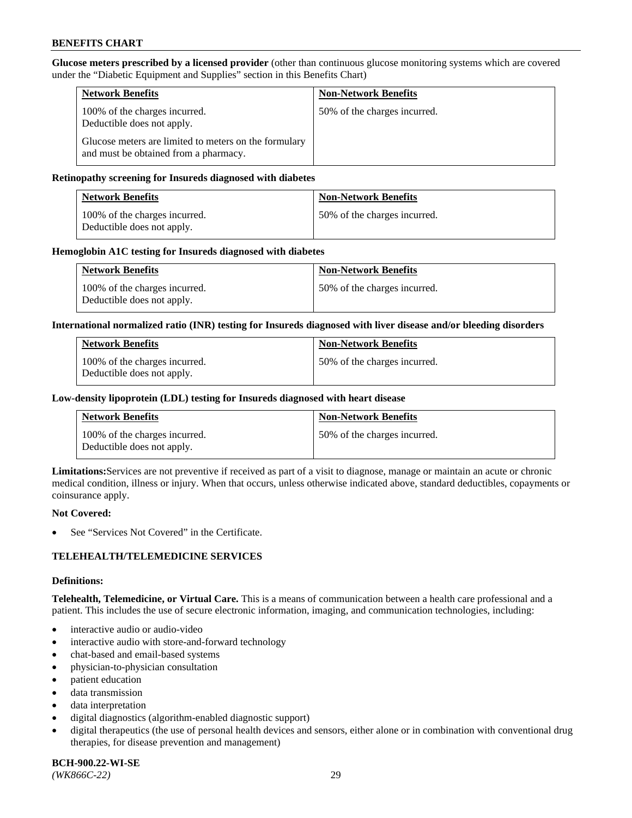**Glucose meters prescribed by a licensed provider** (other than continuous glucose monitoring systems which are covered under the "Diabetic Equipment and Supplies" section in this Benefits Chart)

| <b>Network Benefits</b>                                                                        | <b>Non-Network Benefits</b>  |
|------------------------------------------------------------------------------------------------|------------------------------|
| 100% of the charges incurred.<br>Deductible does not apply.                                    | 50% of the charges incurred. |
| Glucose meters are limited to meters on the formulary<br>and must be obtained from a pharmacy. |                              |

#### **Retinopathy screening for Insureds diagnosed with diabetes**

| <b>Network Benefits</b>                                     | <b>Non-Network Benefits</b>  |
|-------------------------------------------------------------|------------------------------|
| 100% of the charges incurred.<br>Deductible does not apply. | 50% of the charges incurred. |

#### **Hemoglobin A1C testing for Insureds diagnosed with diabetes**

| <b>Network Benefits</b>                                     | <b>Non-Network Benefits</b>  |
|-------------------------------------------------------------|------------------------------|
| 100% of the charges incurred.<br>Deductible does not apply. | 50% of the charges incurred. |

#### **International normalized ratio (INR) testing for Insureds diagnosed with liver disease and/or bleeding disorders**

| <b>Network Benefits</b>                                     | <b>Non-Network Benefits</b>  |
|-------------------------------------------------------------|------------------------------|
| 100% of the charges incurred.<br>Deductible does not apply. | 50% of the charges incurred. |

#### **Low-density lipoprotein (LDL) testing for Insureds diagnosed with heart disease**

| <b>Network Benefits</b>                                     | <b>Non-Network Benefits</b>  |
|-------------------------------------------------------------|------------------------------|
| 100% of the charges incurred.<br>Deductible does not apply. | 50% of the charges incurred. |

**Limitations:**Services are not preventive if received as part of a visit to diagnose, manage or maintain an acute or chronic medical condition, illness or injury. When that occurs, unless otherwise indicated above, standard deductibles, copayments or coinsurance apply.

#### **Not Covered:**

See "Services Not Covered" in the Certificate.

# **TELEHEALTH/TELEMEDICINE SERVICES**

#### **Definitions:**

**Telehealth, Telemedicine, or Virtual Care.** This is a means of communication between a health care professional and a patient. This includes the use of secure electronic information, imaging, and communication technologies, including:

- interactive audio or audio-video
- interactive audio with store-and-forward technology
- chat-based and email-based systems
- physician-to-physician consultation
- patient education
- data transmission
- data interpretation
- digital diagnostics (algorithm-enabled diagnostic support)
- digital therapeutics (the use of personal health devices and sensors, either alone or in combination with conventional drug therapies, for disease prevention and management)

**BCH-900.22-WI-SE**  *(WK866C-22)* 29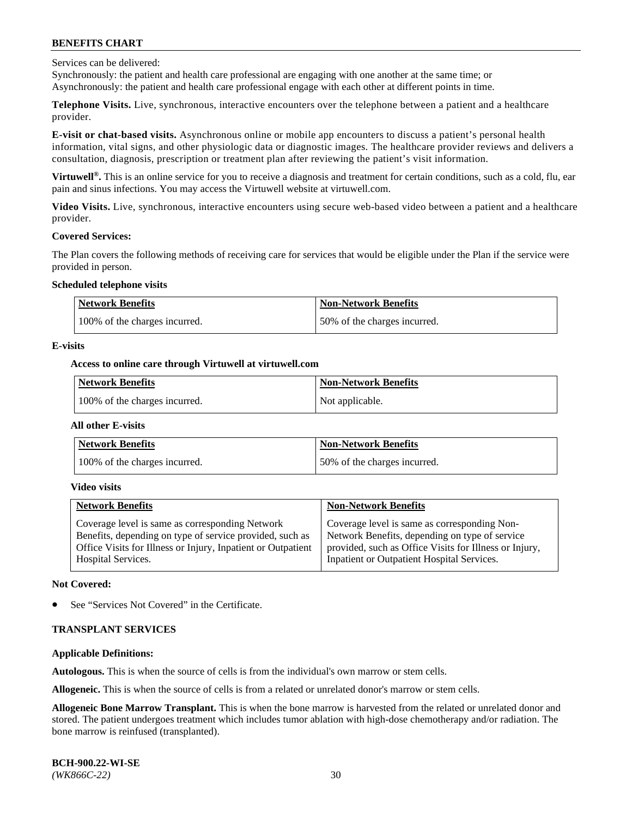Services can be delivered:

Synchronously: the patient and health care professional are engaging with one another at the same time; or Asynchronously: the patient and health care professional engage with each other at different points in time.

**Telephone Visits.** Live, synchronous, interactive encounters over the telephone between a patient and a healthcare provider.

**E-visit or chat-based visits.** Asynchronous online or mobile app encounters to discuss a patient's personal health information, vital signs, and other physiologic data or diagnostic images. The healthcare provider reviews and delivers a consultation, diagnosis, prescription or treatment plan after reviewing the patient's visit information.

**Virtuwell®.** This is an online service for you to receive a diagnosis and treatment for certain conditions, such as a cold, flu, ear pain and sinus infections. You may access the Virtuwell website at [virtuwell.com.](https://www.virtuwell.com/)

**Video Visits.** Live, synchronous, interactive encounters using secure web-based video between a patient and a healthcare provider.

#### **Covered Services:**

The Plan covers the following methods of receiving care for services that would be eligible under the Plan if the service were provided in person.

#### **Scheduled telephone visits**

| <b>Network Benefits</b>       | <b>Non-Network Benefits</b>  |
|-------------------------------|------------------------------|
| 100% of the charges incurred. | 50% of the charges incurred. |

#### **E-visits**

# **Access to online care through Virtuwell at [virtuwell.com](https://www.virtuwell.com/)**

| Network Benefits              | <b>Non-Network Benefits</b> |
|-------------------------------|-----------------------------|
| 100% of the charges incurred. | Not applicable.             |

#### **All other E-visits**

| <b>Network Benefits</b>       | <b>Non-Network Benefits</b>  |
|-------------------------------|------------------------------|
| 100% of the charges incurred. | 50% of the charges incurred. |

#### **Video visits**

| <b>Network Benefits</b>                                      | <b>Non-Network Benefits</b>                            |
|--------------------------------------------------------------|--------------------------------------------------------|
| Coverage level is same as corresponding Network              | Coverage level is same as corresponding Non-           |
| Benefits, depending on type of service provided, such as     | Network Benefits, depending on type of service         |
| Office Visits for Illness or Injury, Inpatient or Outpatient | provided, such as Office Visits for Illness or Injury, |
| <b>Hospital Services.</b>                                    | Inpatient or Outpatient Hospital Services.             |

#### **Not Covered:**

See "Services Not Covered" in the Certificate.

# **TRANSPLANT SERVICES**

# **Applicable Definitions:**

**Autologous.** This is when the source of cells is from the individual's own marrow or stem cells.

**Allogeneic.** This is when the source of cells is from a related or unrelated donor's marrow or stem cells.

**Allogeneic Bone Marrow Transplant.** This is when the bone marrow is harvested from the related or unrelated donor and stored. The patient undergoes treatment which includes tumor ablation with high-dose chemotherapy and/or radiation. The bone marrow is reinfused (transplanted).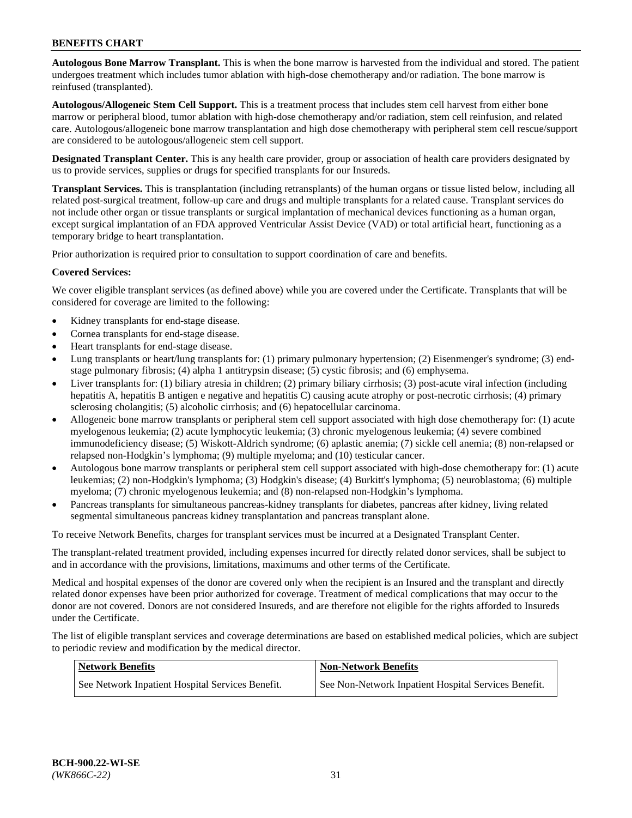**Autologous Bone Marrow Transplant.** This is when the bone marrow is harvested from the individual and stored. The patient undergoes treatment which includes tumor ablation with high-dose chemotherapy and/or radiation. The bone marrow is reinfused (transplanted).

**Autologous/Allogeneic Stem Cell Support.** This is a treatment process that includes stem cell harvest from either bone marrow or peripheral blood, tumor ablation with high-dose chemotherapy and/or radiation, stem cell reinfusion, and related care. Autologous/allogeneic bone marrow transplantation and high dose chemotherapy with peripheral stem cell rescue/support are considered to be autologous/allogeneic stem cell support.

**Designated Transplant Center.** This is any health care provider, group or association of health care providers designated by us to provide services, supplies or drugs for specified transplants for our Insureds.

**Transplant Services.** This is transplantation (including retransplants) of the human organs or tissue listed below, including all related post-surgical treatment, follow-up care and drugs and multiple transplants for a related cause. Transplant services do not include other organ or tissue transplants or surgical implantation of mechanical devices functioning as a human organ, except surgical implantation of an FDA approved Ventricular Assist Device (VAD) or total artificial heart, functioning as a temporary bridge to heart transplantation.

Prior authorization is required prior to consultation to support coordination of care and benefits.

#### **Covered Services:**

We cover eligible transplant services (as defined above) while you are covered under the Certificate. Transplants that will be considered for coverage are limited to the following:

- Kidney transplants for end-stage disease.
- Cornea transplants for end-stage disease.
- Heart transplants for end-stage disease.
- Lung transplants or heart/lung transplants for: (1) primary pulmonary hypertension; (2) Eisenmenger's syndrome; (3) endstage pulmonary fibrosis; (4) alpha 1 antitrypsin disease; (5) cystic fibrosis; and (6) emphysema.
- Liver transplants for: (1) biliary atresia in children; (2) primary biliary cirrhosis; (3) post-acute viral infection (including hepatitis A, hepatitis B antigen e negative and hepatitis C) causing acute atrophy or post-necrotic cirrhosis; (4) primary sclerosing cholangitis; (5) alcoholic cirrhosis; and (6) hepatocellular carcinoma.
- Allogeneic bone marrow transplants or peripheral stem cell support associated with high dose chemotherapy for: (1) acute myelogenous leukemia; (2) acute lymphocytic leukemia; (3) chronic myelogenous leukemia; (4) severe combined immunodeficiency disease; (5) Wiskott-Aldrich syndrome; (6) aplastic anemia; (7) sickle cell anemia; (8) non-relapsed or relapsed non-Hodgkin's lymphoma; (9) multiple myeloma; and (10) testicular cancer.
- Autologous bone marrow transplants or peripheral stem cell support associated with high-dose chemotherapy for: (1) acute leukemias; (2) non-Hodgkin's lymphoma; (3) Hodgkin's disease; (4) Burkitt's lymphoma; (5) neuroblastoma; (6) multiple myeloma; (7) chronic myelogenous leukemia; and (8) non-relapsed non-Hodgkin's lymphoma.
- Pancreas transplants for simultaneous pancreas-kidney transplants for diabetes, pancreas after kidney, living related segmental simultaneous pancreas kidney transplantation and pancreas transplant alone.

To receive Network Benefits, charges for transplant services must be incurred at a Designated Transplant Center.

The transplant-related treatment provided, including expenses incurred for directly related donor services, shall be subject to and in accordance with the provisions, limitations, maximums and other terms of the Certificate.

Medical and hospital expenses of the donor are covered only when the recipient is an Insured and the transplant and directly related donor expenses have been prior authorized for coverage. Treatment of medical complications that may occur to the donor are not covered. Donors are not considered Insureds, and are therefore not eligible for the rights afforded to Insureds under the Certificate.

The list of eligible transplant services and coverage determinations are based on established medical policies, which are subject to periodic review and modification by the medical director.

| Network Benefits                                 | <b>Non-Network Benefits</b>                          |
|--------------------------------------------------|------------------------------------------------------|
| See Network Inpatient Hospital Services Benefit. | See Non-Network Inpatient Hospital Services Benefit. |